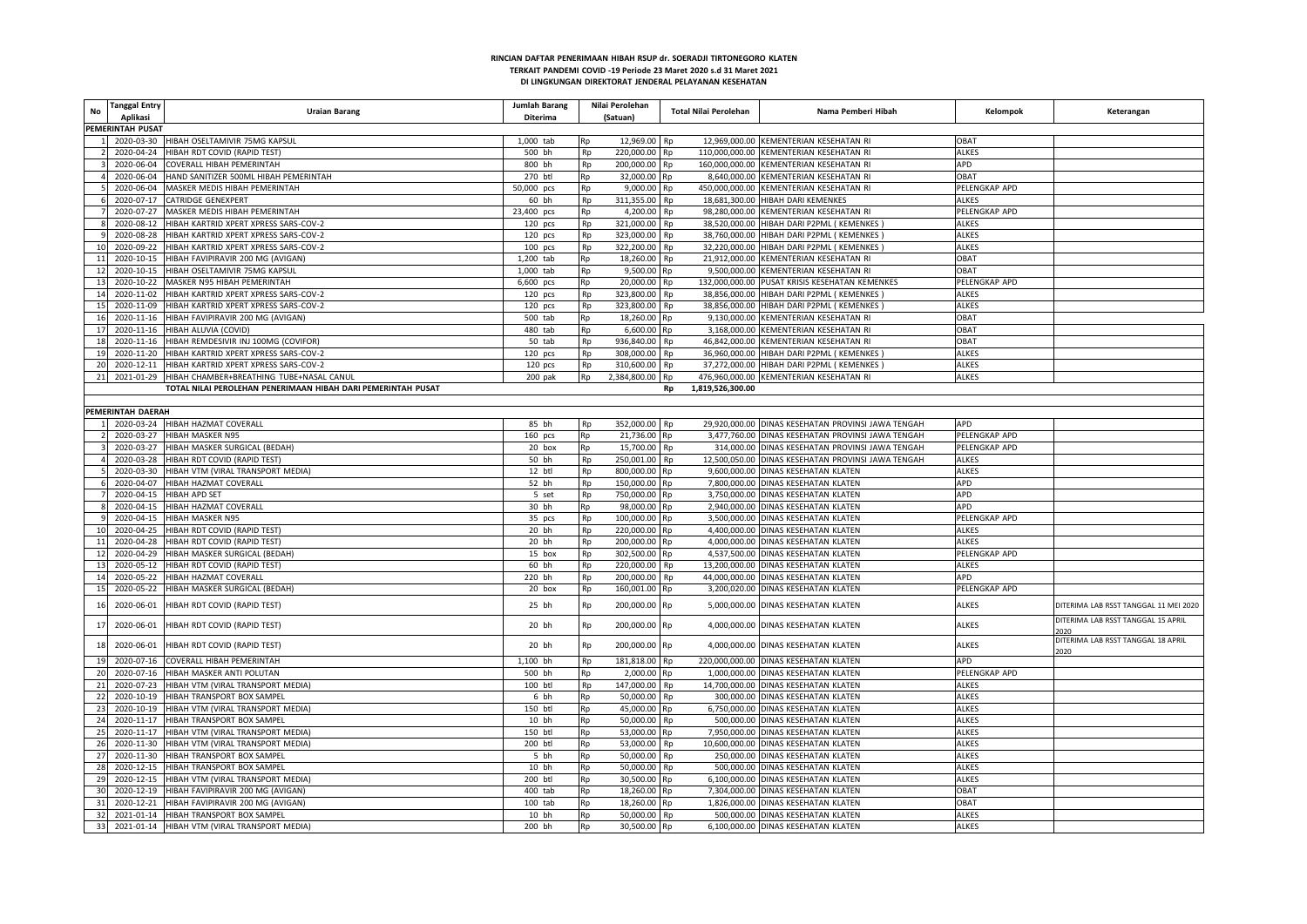| No              | <b>Tanggal Entry</b><br>Aplikasi | <b>Uraian Barang</b>                                         | <b>Jumlah Barang</b><br>Diterima | Nilai Perolehan<br>(Satuan) |               | <b>Total Nilai Perolehan</b> | Nama Pemberi Hibah                                 | Kelompok      | Keterangan                            |
|-----------------|----------------------------------|--------------------------------------------------------------|----------------------------------|-----------------------------|---------------|------------------------------|----------------------------------------------------|---------------|---------------------------------------|
|                 | PEMERINTAH PUSAT                 |                                                              |                                  |                             |               |                              |                                                    |               |                                       |
|                 | 2020-03-30                       | HIBAH OSELTAMIVIR 75MG KAPSUL                                | 1,000 tab                        |                             | 12,969.00 Rp  |                              | 12,969,000.00 KEMENTERIAN KESEHATAN RI             | OBAT          |                                       |
|                 | 2020-04-24                       | HIBAH RDT COVID (RAPID TEST)                                 | 500 bh                           | Rp                          | 220,000.00    | Rp                           | 110,000,000.00 KEMENTERIAN KESEHATAN RI            | <b>ALKES</b>  |                                       |
|                 | 2020-06-04                       | COVERALL HIBAH PEMERINTAH                                    | 800 bh                           | Rp                          | 200,000.00 Rp |                              | 160,000,000.00 KEMENTERIAN KESEHATAN RI            | APD           |                                       |
|                 | 2020-06-04                       | HAND SANITIZER 500ML HIBAH PEMERINTAH                        | 270 btl                          | Rp                          | 32,000.00 Rp  |                              | 8,640,000.00 KEMENTERIAN KESEHATAN RI              | <b>OBAT</b>   |                                       |
|                 | 2020-06-04                       | MASKER MEDIS HIBAH PEMERINTAH                                | 50,000 pcs                       | <b>Rp</b>                   | 9,000.00 Rp   |                              | 450,000,000.00 KEMENTERIAN KESEHATAN RI            | PELENGKAP APD |                                       |
|                 | 2020-07-17                       | CATRIDGE GENEXPERT                                           | 60 bh                            | Rp                          | 311,355.00 Rp |                              | 18,681,300.00 HIBAH DARI KEMENKES                  | <b>ALKES</b>  |                                       |
|                 | 2020-07-27                       | MASKER MEDIS HIBAH PEMERINTAH                                | 23,400 pcs                       | Rp                          | 4,200.00 Rp   |                              | 98,280,000.00 KEMENTERIAN KESEHATAN RI             | PELENGKAP APD |                                       |
|                 | 2020-08-12                       | HIBAH KARTRID XPERT XPRESS SARS-COV-2                        |                                  | Rp                          | 321,000.00 Rp |                              | 38,520,000.00 HIBAH DARI P2PML ( KEMENKES          |               |                                       |
|                 |                                  | HIBAH KARTRID XPERT XPRESS SARS-COV-2                        | $120$ pcs                        |                             |               |                              |                                                    | ALKES         |                                       |
| 10              | 2020-08-28                       |                                                              | $120$ pcs                        | <b>Rp</b>                   | 323,000.00 Rp |                              | 38,760,000.00 HIBAH DARI P2PML ( KEMENKES          | <b>ALKES</b>  |                                       |
|                 | 2020-09-22                       | HIBAH KARTRID XPERT XPRESS SARS-COV-2                        | 100 pcs                          | Rp                          | 322,200.00 Rp |                              | 32,220,000.00 HIBAH DARI P2PML ( KEMENKES          | <b>ALKES</b>  |                                       |
|                 | 11 2020-10-15                    | HIBAH FAVIPIRAVIR 200 MG (AVIGAN)                            | 1,200 tab                        | Rp                          | 18,260.00 Rp  |                              | 21,912,000.00 KEMENTERIAN KESEHATAN RI             | OBAT          |                                       |
| 12              | 2020-10-15                       | HIBAH OSELTAMIVIR 75MG KAPSUL                                | 1,000 tab                        | Rp                          | 9,500.00 Rp   |                              | 9,500,000.00 KEMENTERIAN KESEHATAN RI              | OBAT          |                                       |
| 13              | 2020-10-22                       | MASKER N95 HIBAH PEMERINTAH                                  | 6,600 pcs                        | Ro                          | 20,000.00 Rp  |                              | 132,000,000.00 PUSAT KRISIS KESEHATAN KEMENKES     | PELENGKAP APD |                                       |
| 14              | 2020-11-02                       | HIBAH KARTRID XPERT XPRESS SARS-COV-2                        | $120$ pcs                        | Rp                          | 323,800.00 Rp |                              | 38,856,000.00 HIBAH DARI P2PML ( KEMENKES          | <b>ALKES</b>  |                                       |
| 15              | 2020-11-09                       | HIBAH KARTRID XPERT XPRESS SARS-COV-2                        | 120 pcs                          | Rp                          | 323,800.00 Rp |                              | 38,856,000.00 HIBAH DARI P2PML ( KEMENKES          | <b>ALKES</b>  |                                       |
|                 | 16 2020-11-16                    | HIBAH FAVIPIRAVIR 200 MG (AVIGAN)                            | 500 tab                          | Rp                          | 18,260.00 Rp  |                              | 9,130,000.00 KEMENTERIAN KESEHATAN RI              | OBAT          |                                       |
|                 | 17 2020-11-16                    | HIBAH ALUVIA (COVID)                                         | 480 tab                          | Rp                          | 6,600.00 Rp   |                              | 3,168,000.00 KEMENTERIAN KESEHATAN RI              | OBAT          |                                       |
| 18              | 2020-11-16                       | HIBAH REMDESIVIR INJ 100MG (COVIFOR)                         | 50 tab                           | Rp                          | 936,840.00 Rp |                              | 46,842,000.00 KEMENTERIAN KESEHATAN RI             | OBAT          |                                       |
| 19              | 2020-11-20                       | HIBAH KARTRID XPERT XPRESS SARS-COV-2                        | 120 pcs                          | Rp                          | 308,000.00 Rp |                              | 36,960,000.00 HIBAH DARI P2PML ( KEMENKES          | <b>ALKES</b>  |                                       |
| 20              | 2020-12-11                       | HIBAH KARTRID XPERT XPRESS SARS-COV-2                        | 120 pcs                          | Rp                          | 310,600.00 Rp |                              | 37,272,000.00 HIBAH DARI P2PML ( KEMENKES          | <b>ALKES</b>  |                                       |
|                 |                                  | 21 2021-01-29 HIBAH CHAMBER+BREATHING TUBE+NASAL CANUL       | 200 pak                          | 2,384,800.00 Rp<br>Rp       |               |                              | 476,960,000.00 KEMENTERIAN KESEHATAN RI            | <b>ALKES</b>  |                                       |
|                 |                                  | TOTAL NILAI PEROLEHAN PENERIMAAN HIBAH DARI PEMERINTAH PUSAT |                                  |                             |               | 1,819,526,300.00<br>Rp       |                                                    |               |                                       |
|                 |                                  |                                                              |                                  |                             |               |                              |                                                    |               |                                       |
|                 | PEMERINTAH DAERAH                |                                                              |                                  |                             |               |                              |                                                    |               |                                       |
|                 |                                  | 2020-03-24 HIBAH HAZMAT COVERALL                             | 85 bh                            | <b>Rp</b>                   | 352,000.00 Rp |                              | 29,920,000.00 DINAS KESEHATAN PROVINSI JAWA TENGAH | APD           |                                       |
|                 | 2020-03-27                       | HIBAH MASKER N95                                             | $160$ pcs                        | Rp                          | 21,736.00 Rp  |                              | 3,477,760.00 DINAS KESEHATAN PROVINSI JAWA TENGAH  | PELENGKAP APD |                                       |
|                 | 2020-03-27                       | HIBAH MASKER SURGICAL (BEDAH)                                | 20 box                           | Rp                          | 15,700.00 Rp  |                              | 314,000.00 DINAS KESEHATAN PROVINSI JAWA TENGAH    | PELENGKAP APD |                                       |
|                 | 2020-03-28                       | HIBAH RDT COVID (RAPID TEST)                                 | 50 bh                            | Rp                          | 250,001.00 Rp |                              | 12,500,050.00 DINAS KESEHATAN PROVINSI JAWA TENGAH | <b>ALKES</b>  |                                       |
|                 | 2020-03-30                       | HIBAH VTM (VIRAL TRANSPORT MEDIA)                            | 12 btl                           | Rp                          | 800,000.00 Rp |                              | 9,600,000.00 DINAS KESEHATAN KLATEN                | <b>ALKES</b>  |                                       |
|                 | 2020-04-07                       | HIBAH HAZMAT COVERALL                                        | 52 bh                            | Rp                          | 150,000.00 Rp |                              | 7,800,000.00 DINAS KESEHATAN KLATEN                | APD           |                                       |
|                 | 2020-04-15                       | <b>HIBAH APD SET</b>                                         | 5 set                            | Rp                          | 750,000.00 Rp |                              | 3,750,000.00 DINAS KESEHATAN KLATEN                | APD           |                                       |
|                 | 2020-04-15                       | HIBAH HAZMAT COVERALL                                        | 30 bh                            | Rp                          | 98,000.00 Rp  |                              | 2,940,000.00 DINAS KESEHATAN KLATEN                | APD           |                                       |
|                 | 2020-04-15                       | HIBAH MASKER N95                                             | 35 pcs                           | Rp                          | 100,000.00 Rp |                              | 3,500,000.00 DINAS KESEHATAN KLATEN                | PELENGKAP APD |                                       |
| 10              | 2020-04-25                       | HIBAH RDT COVID (RAPID TEST)                                 | 20 bh                            | Rp                          | 220,000.00 Rp |                              | 4,400,000.00 DINAS KESEHATAN KLATEN                | <b>ALKES</b>  |                                       |
| 11              | 2020-04-28                       | HIBAH RDT COVID (RAPID TEST)                                 | 20 bh                            | Rp                          | 200,000.00 Rp |                              | 4,000,000.00 DINAS KESEHATAN KLATEN                | <b>ALKES</b>  |                                       |
| 12              | 2020-04-29                       | HIBAH MASKER SURGICAL (BEDAH)                                | 15 box                           | Rp                          | 302,500.00    | <b>Rp</b>                    | 4,537,500.00 DINAS KESEHATAN KLATEN                | PELENGKAP APD |                                       |
| 13              | 2020-05-12                       | HIBAH RDT COVID (RAPID TEST)                                 | 60 bh                            |                             | 220,000.00    | Rp                           | 13,200,000.00 DINAS KESEHATAN KLATEN               | <b>ALKES</b>  |                                       |
| 14              | 2020-05-22                       | HIBAH HAZMAT COVERALL                                        | 220 bh                           | <b>Rp</b>                   | 200,000.00 Rp |                              | 44,000,000.00 DINAS KESEHATAN KLATEN               | APD           |                                       |
| 15              | 2020-05-22                       | HIBAH MASKER SURGICAL (BEDAH)                                | 20 box                           | Rp                          | 160,001.00 Rp |                              | 3,200,020.00 DINAS KESEHATAN KLATEN                | PELENGKAP APD |                                       |
| 16              | 2020-06-01                       | HIBAH RDT COVID (RAPID TEST)                                 | 25 bh                            | Rp                          | 200,000.00 Rp |                              | 5,000,000.00 DINAS KESEHATAN KLATEN                | <b>ALKES</b>  | DITERIMA LAB RSST TANGGAL 11 MEI 2020 |
| 17              | 2020-06-01                       | HIBAH RDT COVID (RAPID TEST)                                 | 20 bh                            | Rp                          | 200,000.00 Rp |                              | 4,000,000.00 DINAS KESEHATAN KLATEN                | <b>ALKES</b>  | DITERIMA LAB RSST TANGGAL 15 APRIL    |
| 18              | 2020-06-01                       | HIBAH RDT COVID (RAPID TEST)                                 | 20 bh                            | Rp                          | 200,000.00 Rp |                              | 4,000,000.00 DINAS KESEHATAN KLATEN                | ALKES         | DITERIMA LAB RSST TANGGAL 18 APRIL    |
| 19              | 2020-07-16                       | COVERALL HIBAH PEMERINTAH                                    | 1,100 bh                         | Ro                          | 181,818.00 Rp |                              | 220,000,000.00 DINAS KESEHATAN KLATEN              | APD           |                                       |
| 20              | 2020-07-16                       | HIBAH MASKER ANTI POLUTAN                                    | 500 bh                           | Ro                          | 2,000.00      | <b>Rp</b>                    | 1,000,000.00 DINAS KESEHATAN KLATEN                | PELENGKAP APD |                                       |
| 21              | 2020-07-23                       | HIBAH VTM (VIRAL TRANSPORT MEDIA)                            | 100 btl                          | Rp                          | 147,000.00 Rp |                              | 14.700.000.00 DINAS KESEHATAN KLATEN               | <b>ALKES</b>  |                                       |
| 22              | 2020-10-19                       | HIBAH TRANSPORT BOX SAMPEL                                   | 6 bh                             | Rp                          | 50,000.00 Rp  |                              | 300,000.00 DINAS KESEHATAN KLATEN                  | ALKES         |                                       |
| 23              | 2020-10-19                       | HIBAH VTM (VIRAL TRANSPORT MEDIA)                            | 150 btl                          | Rn                          | 45,000.00 Rp  |                              | 6,750,000.00 DINAS KESEHATAN KLATEN                | <b>ALKES</b>  |                                       |
|                 |                                  |                                                              |                                  |                             |               |                              |                                                    |               |                                       |
| 24              | 2020-11-17                       | HIBAH TRANSPORT BOX SAMPEL                                   | 10 bh                            | Rp                          | 50,000.00 Rp  |                              | 500,000.00 DINAS KESEHATAN KLATEN                  | <b>ALKES</b>  |                                       |
| 25              | 2020-11-17                       | HIBAH VTM (VIRAL TRANSPORT MEDIA)                            | 150 btl                          | Rp                          | 53,000.00 Rp  |                              | 7,950,000.00 DINAS KESEHATAN KLATEN                | <b>ALKES</b>  |                                       |
| 26              | 2020-11-30                       | HIBAH VTM (VIRAL TRANSPORT MEDIA)                            | 200 btl                          | Rp                          | 53,000.00 Rp  |                              | 10,600,000.00 DINAS KESEHATAN KLATEN               | <b>ALKES</b>  |                                       |
| 27              | 2020-11-30                       | HIBAH TRANSPORT BOX SAMPEL                                   | 5 bh                             | Rp                          | 50,000.00 Rp  |                              | 250.000.00 DINAS KESEHATAN KLATEN                  | <b>ALKES</b>  |                                       |
| 28              | 2020-12-15                       | HIBAH TRANSPORT BOX SAMPEL                                   | 10 bh                            | Rn                          | 50,000.00 Rp  |                              | 500,000.00 DINAS KESEHATAN KLATEN                  | <b>ALKES</b>  |                                       |
| 29              | 2020-12-15                       | HIBAH VTM (VIRAL TRANSPORT MEDIA)                            | 200 btl                          | Rp                          | 30,500.00 Rp  |                              | 6,100,000.00 DINAS KESEHATAN KLATEN                | <b>ALKES</b>  |                                       |
| 30 <sup>1</sup> | 2020-12-19                       | HIBAH FAVIPIRAVIR 200 MG (AVIGAN)                            | 400 tab                          | Rn                          | 18,260.00 Rp  |                              | 7,304,000.00 DINAS KESEHATAN KLATEN                | OBAT          |                                       |
| 31              | 2020-12-21                       | HIBAH FAVIPIRAVIR 200 MG (AVIGAN)                            | $100$ tab                        | Rn                          | 18,260.00 Rp  |                              | 1,826,000.00 DINAS KESEHATAN KLATEN                | <b>TABC</b>   |                                       |
| 32              |                                  | 2021-01-14 HIBAH TRANSPORT BOX SAMPEL                        | 10 bh                            | Rp                          | 50.000.00 Rp  |                              | 500,000.00 DINAS KESEHATAN KLATEN                  | <b>ALKES</b>  |                                       |
|                 |                                  | 33 2021-01-14 HIBAH VTM (VIRAL TRANSPORT MEDIA)              | 200 bh                           | Rp                          | 30,500.00 Rp  |                              | 6,100,000.00 DINAS KESEHATAN KLATEN                | <b>ALKES</b>  |                                       |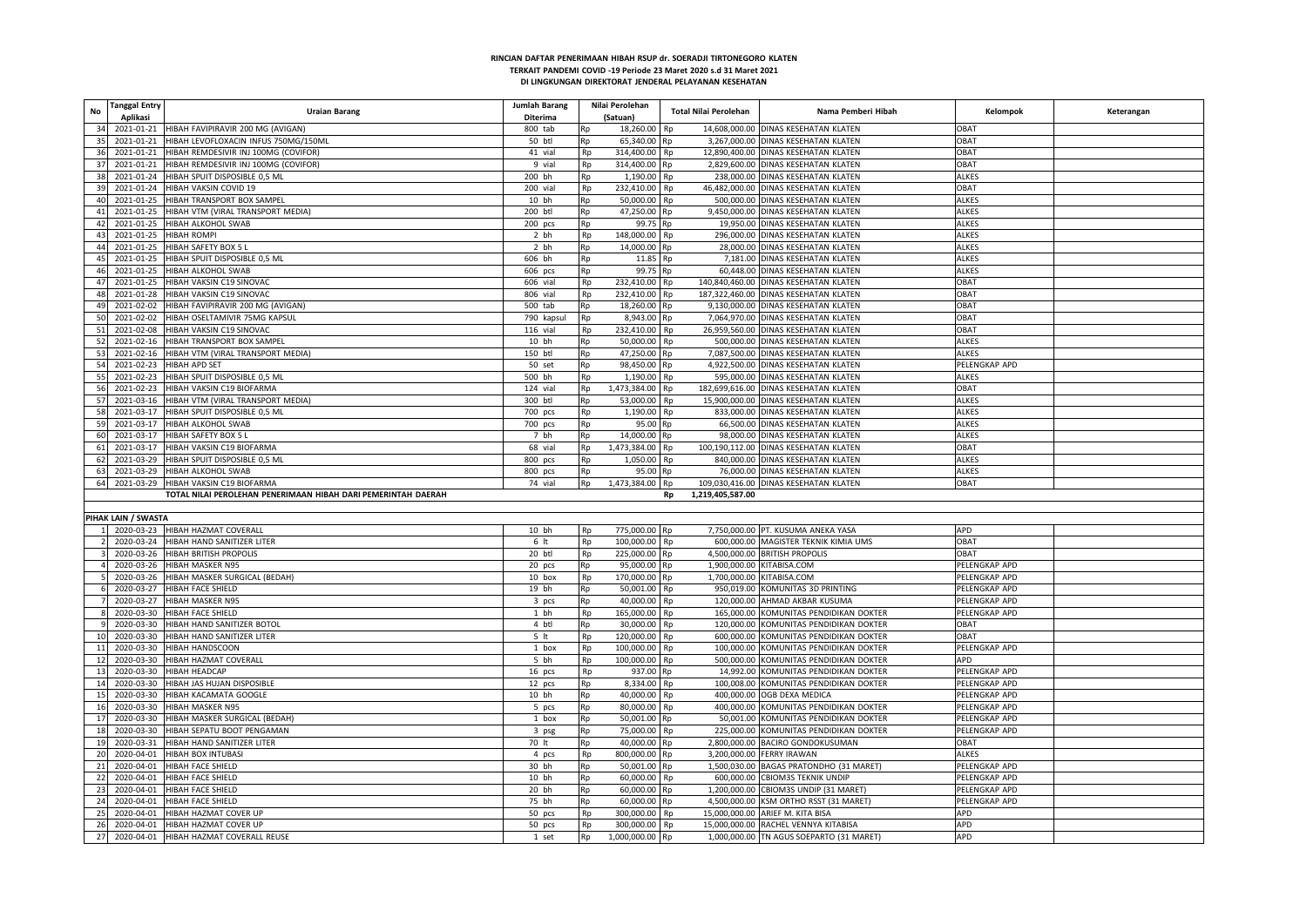| <b>Tanggal Entry</b><br>No<br>Aplikasi | <b>Uraian Barang</b>                                          | <b>Jumlah Barang</b><br>Diterima |    | Nilai Perolehan<br>(Satuan) | Total Nilai Perolehan  | Nama Pemberi Hibah                       | Kelompok      | Keterangan |
|----------------------------------------|---------------------------------------------------------------|----------------------------------|----|-----------------------------|------------------------|------------------------------------------|---------------|------------|
| 34<br>2021-01-21                       | HIBAH FAVIPIRAVIR 200 MG (AVIGAN)                             | 800 tab                          | Rp | 18,260.00                   | Rp                     | 14,608,000.00 DINAS KESEHATAN KLATEN     | <b>DBAT</b>   |            |
| 35<br>2021-01-21                       | IIBAH LEVOFLOXACIN INFUS 750MG/150ML                          | 50 btl                           | Rp | 65,340.00                   | Rp                     | 3,267,000.00 DINAS KESEHATAN KLATEN      | <b>OBAT</b>   |            |
| 36<br>2021-01-21                       | HIBAH REMDESIVIR INJ 100MG (COVIFOR)                          | 41 vial                          | Rp | 314,400.00                  | Rp                     | 12,890,400.00 DINAS KESEHATAN KLATEN     | <b>OBAT</b>   |            |
| 37<br>2021-01-21                       | HIBAH REMDESIVIR INJ 100MG (COVIFOR)                          | 9 vial                           | Rp | 314,400.00                  | Rp                     | 2,829,600.00 DINAS KESEHATAN KLATEN      | <b>OBAT</b>   |            |
| 38<br>2021-01-24                       | HIBAH SPUIT DISPOSIBLE 0,5 ML                                 | 200 bh                           | Rp | 1,190.00                    | 238.000.00<br>Rp       | <b>DINAS KESEHATAN KLATEN</b>            | ALKES         |            |
|                                        |                                                               |                                  |    |                             |                        |                                          | <b>OBAT</b>   |            |
| 39<br>2021-01-24                       | HIBAH VAKSIN COVID 19                                         | 200 vial                         | Rp | 232,410.00                  | Rp                     | 46,482,000.00 DINAS KESEHATAN KLATEN     |               |            |
| 40<br>2021-01-25                       | HIBAH TRANSPORT BOX SAMPEL                                    | 10 bh                            | Rp | 50,000.00                   | Rp                     | 500,000.00 DINAS KESEHATAN KLATEN        | ALKES         |            |
| 2021-01-25<br>41                       | IIBAH VTM (VIRAL TRANSPORT MEDIA)                             | 200 btl                          | Rp | 47,250.00                   | Rp                     | 9,450,000.00 DINAS KESEHATAN KLATEN      | <b>ALKES</b>  |            |
| 2021-01-25<br>42                       | HIBAH ALKOHOL SWAB                                            | $200$ pcs                        | Rp | 99.75                       | Rp                     | 19,950.00 DINAS KESEHATAN KLATEN         | ALKES         |            |
| 43<br>2021-01-25                       | <b>HIBAH ROMPI</b>                                            | 2 bh                             | Rp | 148,000.00                  | Rp                     | 296,000.00 DINAS KESEHATAN KLATEN        | <b>ALKES</b>  |            |
| 44<br>2021-01-25                       | HIBAH SAFETY BOX 5 L                                          | 2 bh                             | Rp | 14,000.00 Rp                |                        | 28,000.00 DINAS KESEHATAN KLATEN         | <b>ALKES</b>  |            |
| 2021-01-25<br>45                       | HIBAH SPUIT DISPOSIBLE 0,5 ML                                 | 606 bh                           | Rp | 11.85                       | Rp                     | 7,181.00 DINAS KESEHATAN KLATEN          | ALKES         |            |
| 46<br>2021-01-25                       | HIBAH ALKOHOL SWAB                                            | 606 pcs                          | Rp | 99.75                       | Rn                     | 60,448.00 DINAS KESEHATAN KLATEN         | ALKES         |            |
| 47<br>2021-01-25                       | HIBAH VAKSIN C19 SINOVAC                                      | 606 vial                         | Rp | 232,410.00                  | Rp                     | 140,840,460.00 DINAS KESEHATAN KLATEN    | <b>OBAT</b>   |            |
| 48<br>2021-01-28                       | HIBAH VAKSIN C19 SINOVAC                                      | 806 vial                         | Rp | 232,410.00                  | Rp                     | 187,322,460.00 DINAS KESEHATAN KLATEN    | <b>OBAT</b>   |            |
| 49<br>2021-02-02                       | HIBAH FAVIPIRAVIR 200 MG (AVIGAN)                             | 500 tab                          | Rp | 18,260.00                   | Rp                     | 9,130,000.00 DINAS KESEHATAN KLATEN      | OBAT          |            |
| 50<br>2021-02-02                       | HIBAH OSELTAMIVIR 75MG KAPSUL                                 | 790 kapsul                       | Rp | 8,943.00                    | Rp                     | 7,064,970.00 DINAS KESEHATAN KLATEN      | OBAT          |            |
| 51                                     |                                                               |                                  |    |                             |                        |                                          | <b>OBAT</b>   |            |
| 2021-02-08                             | <b>IIBAH VAKSIN C19 SINOVAC</b>                               | 116 vial                         | Rp | 232,410.00                  | Rp                     | 26,959,560.00 DINAS KESEHATAN KLATEN     |               |            |
| 52<br>2021-02-16                       | HIBAH TRANSPORT BOX SAMPEL                                    | 10 bh                            | Rp | 50,000.00                   | Rp                     | 500,000.00 DINAS KESEHATAN KLATEN        | <b>ALKES</b>  |            |
| 53<br>2021-02-16                       | HIBAH VTM (VIRAL TRANSPORT MEDIA)                             | 150 btl                          | Rp | 47,250.00                   | Rp                     | 7,087,500.00 DINAS KESEHATAN KLATEN      | <b>ALKES</b>  |            |
| 2021-02-23<br>54                       | <b>HIBAH APD SET</b>                                          | 50 set                           | Rp | 98,450.00                   | Rp                     | 4,922,500.00 DINAS KESEHATAN KLATEN      | PELENGKAP APD |            |
| 55<br>2021-02-23                       | HIBAH SPUIT DISPOSIBLE 0,5 ML                                 | 500 bh                           | Rp | 1,190.00                    | Rp                     | 595,000.00 DINAS KESEHATAN KLATEN        | <b>ALKES</b>  |            |
| 56<br>2021-02-23                       | HIBAH VAKSIN C19 BIOFARMA                                     | 124 vial                         | Rp | 1,473,384.00                | Rp                     | 182,699,616.00 DINAS KESEHATAN KLATEN    | <b>OBAT</b>   |            |
| 57<br>2021-03-16                       | HIBAH VTM (VIRAL TRANSPORT MEDIA)                             | 300 btl                          | Rp | 53,000.00                   | Rn                     | 15,900,000.00 DINAS KESEHATAN KLATEN     | <b>ALKES</b>  |            |
| 58<br>2021-03-17                       | HIBAH SPUIT DISPOSIBLE 0,5 ML                                 | 700 pcs                          | Rp | 1,190.00                    | Rp                     | 833,000.00 DINAS KESEHATAN KLATEN        | <b>ALKES</b>  |            |
| 59<br>2021-03-17                       | HIBAH ALKOHOL SWAB                                            | 700 pcs                          | Rp | 95.00                       | Rn                     | 66,500.00 DINAS KESEHATAN KLATEN         | ALKES         |            |
| 60<br>2021-03-17                       | HIBAH SAFETY BOX 5 L                                          | 7 bh                             | Rp | 14,000.00                   | Rn                     | 98,000.00 DINAS KESEHATAN KLATEN         | <b>ALKES</b>  |            |
| 2021-03-17<br>61                       | HIBAH VAKSIN C19 BIOFARMA                                     | 68 vial                          | Rp | 1,473,384.00                | Rp                     | 100,190,112.00 DINAS KESEHATAN KLATEN    | <b>OBAT</b>   |            |
| 62<br>2021-03-29                       | HIBAH SPUIT DISPOSIBLE 0,5 MI                                 | 800 pcs                          | Rp | 1,050.00                    | Rp                     | 840,000.00 DINAS KESEHATAN KLATEN        | <b>ALKES</b>  |            |
| 63                                     | 2021-03-29 HIBAH ALKOHOL SWAB                                 | 800 pcs                          | Rp | 95.00                       | Rn                     | 76,000.00 DINAS KESEHATAN KLATEN         | <b>ALKES</b>  |            |
|                                        |                                                               |                                  |    |                             |                        |                                          |               |            |
| 64                                     | 2021-03-29 HIBAH VAKSIN C19 BIOFARMA                          | 74 vial                          | Rp | 1,473,384.00                | Rp                     | 109,030,416.00 DINAS KESEHATAN KLATEN    | <b>OBAT</b>   |            |
|                                        | TOTAL NILAI PEROLEHAN PENERIMAAN HIBAH DARI PEMERINTAH DAERAH |                                  |    |                             | 1,219,405,587.00<br>Rp |                                          |               |            |
|                                        |                                                               |                                  |    |                             |                        |                                          |               |            |
| PIHAK LAIN / SWASTA                    |                                                               |                                  |    |                             |                        |                                          |               |            |
|                                        | 2020-03-23 HIBAH HAZMAT COVERALI                              | 10 bh                            | Rp | 775,000.00                  | Rp                     | 7,750,000.00 PT. KUSUMA ANEKA YASA       | APD           |            |
| 2020-03-24                             | HIBAH HAND SANITIZER LITER                                    | 6 <sub>it</sub>                  | Rp | 100,000.00                  | Rp                     | 600,000.00 MAGISTER TEKNIK KIMIA UMS     | OBAT          |            |
| 2020-03-26                             | HIBAH BRITISH PROPOLIS                                        | 20 btl                           | Rp | 225,000.00                  | Rp                     | 4,500,000.00 BRITISH PROPOLIS            | OBAT          |            |
| 2020-03-26                             | HIBAH MASKER N95                                              | 20 pcs                           | Rp | 95,000.00                   | Rp                     | 1,900,000.00 KITABISA.COM                | PELENGKAP APD |            |
| 2020-03-26                             | HIBAH MASKER SURGICAL (BEDAH)                                 | 10 box                           | Rp | 170,000.00                  | Rp                     | 1,700,000.00 KITABISA.COM                | PELENGKAP APD |            |
| 2020-03-27                             | HIBAH FACE SHIELD                                             | 19 bh                            | Rp | 50,001.00                   | Rp                     | 950,019.00 KOMUNITAS 3D PRINTING         | PELENGKAP APD |            |
| 2020-03-27                             | HIBAH MASKER N95                                              | 3 pcs                            | Rp | 40,000.00                   | Rp                     | 120,000.00 AHMAD AKBAR KUSUMA            | PELENGKAP APD |            |
| 2020-03-30                             | HIBAH FACE SHIELD                                             | 1 bh                             | Rp | 165,000.00                  | Rp                     | 165,000.00 KOMUNITAS PENDIDIKAN DOKTER   | PELENGKAP APD |            |
| 2020-03-30                             | HIBAH HAND SANITIZER BOTOL                                    | 4 btl                            | Rp | 30,000.00                   | Rp                     | 120,000.00 KOMUNITAS PENDIDIKAN DOKTER   | <b>DBAT</b>   |            |
| 2020-03-30<br>10                       | HIBAH HAND SANITIZER LITER                                    | 5 <sub>it</sub>                  | Rp | 120,000.00                  | Rp                     | 600,000.00 KOMUNITAS PENDIDIKAN DOKTER   | <b>OBAT</b>   |            |
| 2020-03-30<br>11                       | <b>IIBAH HANDSCOON</b>                                        | 1 box                            | Rp | 100,000.00                  | Rp                     | 100,000.00 KOMUNITAS PENDIDIKAN DOKTER   | PELENGKAP APD |            |
|                                        |                                                               |                                  |    |                             |                        |                                          |               |            |
| 2020-03-30<br>12                       | HIBAH HAZMAT COVERALL                                         | 5 bh                             | Rp | 100,000.00                  | Rp                     | 500,000.00 KOMUNITAS PENDIDIKAN DOKTER   | APD           |            |
| 13<br>2020-03-30                       | <b>HIBAH HEADCAP</b>                                          | 16 pcs                           | Rp | 937.00                      | Rn                     | 14,992.00 KOMUNITAS PENDIDIKAN DOKTER    | PELENGKAP APD |            |
| 14<br>2020-03-30                       | IIBAH JAS HUJAN DISPOSIBLE                                    | 12 pcs                           | Rp | 8,334.00                    | Rp                     | 100,008.00 KOMUNITAS PENDIDIKAN DOKTER   | PELENGKAP APD |            |
| 15<br>2020-03-30                       | HIBAH KACAMATA GOOGLE                                         | 10 bh                            | Rp | 40,000.00                   | Rp                     | 400.000.00 OGB DEXA MEDICA               | PELENGKAP APD |            |
| 16<br>2020-03-30                       | <b>IIBAH MASKER N95</b>                                       | 5 pcs                            | Rp | 80,000.00                   | Rp                     | 400,000.00 KOMUNITAS PENDIDIKAN DOKTER   | PELENGKAP APD |            |
| 17<br>2020-03-30                       | HIBAH MASKER SURGICAL (BEDAH)                                 | 1 box                            | Rp | 50,001.00                   | Rp                     | 50,001.00 KOMUNITAS PENDIDIKAN DOKTER    | PELENGKAP APD |            |
| 18<br>2020-03-30                       | HIBAH SEPATU BOOT PENGAMAN                                    | 3 psg                            | Rp | 75,000.00                   | Rp                     | 225,000.00 KOMUNITAS PENDIDIKAN DOKTER   | PELENGKAP APD |            |
| 19<br>2020-03-31                       | <b>HIBAH HAND SANITIZER LITER</b>                             | 70 lt                            | Rp | 40,000.00                   | Rp                     | 2.800.000.00 BACIRO GONDOKUSUMAN         | <b>DBAT</b>   |            |
| 20<br>2020-04-01                       | HIBAH BOX INTUBASI                                            | 4 pcs                            | Rp | 800,000.00                  | Rp                     | 3,200,000.00 FERRY IRAWAN                | ALKES         |            |
| 21<br>2020-04-01                       | HIBAH FACE SHIELD                                             | 30 bh                            | Rp | 50,001.00                   | Rp                     | 1,500,030.00 BAGAS PRATONDHO (31 MARET)  | PELENGKAP APD |            |
| 22<br>2020-04-01                       | HIBAH FACE SHIELD                                             | 10 bh                            | Rp | 60,000.00                   | Rp                     | 600,000.00 CBIOM3S TEKNIK UNDIP          | PELENGKAP APD |            |
| 23<br>2020-04-01                       | HIBAH FACE SHIELD                                             | 20 bh                            | Rp | 60,000.00                   | Rp                     | 1,200,000.00 CBIOM3S UNDIP (31 MARET     | PELENGKAP APD |            |
| 2020-04-01<br>24                       | HIBAH FACE SHIELD                                             | 75 bh                            | Rp | 60,000.00                   |                        | 4,500,000.00 KSM ORTHO RSST (31 MARET)   | PELENGKAP APD |            |
|                                        |                                                               |                                  |    |                             | Rp                     |                                          | APD           |            |
| 25<br>2020-04-01                       | HIBAH HAZMAT COVER UP                                         | 50 pcs                           | Rp | 300,000.00                  | Rp                     | 15,000,000.00 ARIEF M. KITA BISA         |               |            |
| 26<br>2020-04-01                       | HIBAH HAZMAT COVER UP                                         | 50 pcs                           | Rp | 300,000.00                  | Rp                     | 15,000,000.00 RACHEL VENNYA KITABISA     | APD           |            |
| 27                                     | 2020-04-01 HIBAH HAZMAT COVERALL REUSE                        | 1 set                            | Rp | 1,000,000.00                | Rp                     | 1,000,000.00 TN AGUS SOEPARTO (31 MARET) | APD           |            |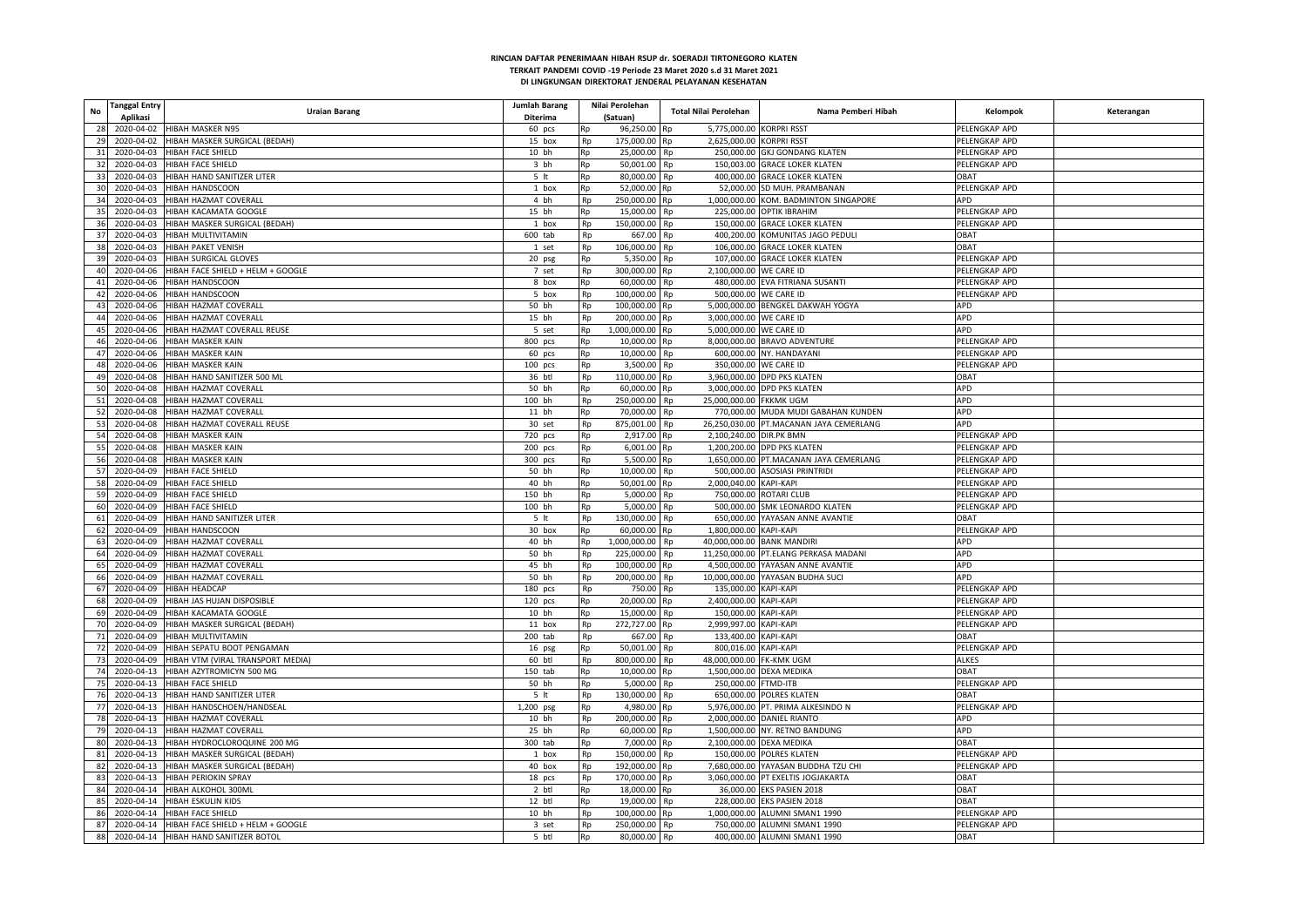| <b>Tanggal Entry</b><br>No      | <b>Uraian Barang</b>                         | Jumlah Barang   |    | Nilai Perolehan           | Total Nilai Perolehan            | Nama Pemberi Hibah                      | Kelompok      | Keterangan |
|---------------------------------|----------------------------------------------|-----------------|----|---------------------------|----------------------------------|-----------------------------------------|---------------|------------|
| Aplikasi                        |                                              | Diterima        |    | (Satuan)                  | 5.775.000.00 KORPRI RSST         |                                         | PELENGKAP APD |            |
| 28                              | 2020-04-02 HIBAH MASKER N95                  | 60 pcs          | Rp | 96,250.00 Rp              |                                  |                                         |               |            |
| 29                              | 2020-04-02 HIBAH MASKER SURGICAL (BEDAH)     | 15 box          | Rp | 175,000.00 Rp             | 2.625.000.00 KORPRI RSST         |                                         | PELENGKAP APD |            |
| 31 2020-04-03                   | <b>HIBAH FACE SHIELD</b>                     | 10 bh           | Rp | 25,000.00                 | Rp                               | 250,000.00 GKJ GONDANG KLATEN           | PELENGKAP APD |            |
| 32 2020-04-03 HIBAH FACE SHIELD |                                              | 3 bh            | Rp | 50,001.00                 | Rp                               | 150,003.00 GRACE LOKER KLATEN           | PELENGKAP APD |            |
| 33                              | 2020-04-03 HIBAH HAND SANITIZER LITER        | 5 <sub>it</sub> | Rp | 80,000.00                 | <b>Rp</b>                        | 400,000.00 GRACE LOKER KLATEN           | TABO          |            |
| 30                              | 2020-04-03 HIBAH HANDSCOON                   | 1 box           | Rp | 52.000.00 Rp              |                                  | 52.000.00 SD MUH, PRAMBANAN             | PELENGKAP APD |            |
| 34                              | 2020-04-03 HIBAH HAZMAT COVERAL              | 4 bh            | Rp | 250,000.00                | Rp                               | 1,000,000.00 KOM. BADMINTON SINGAPORE   | APD           |            |
| 35<br>2020-04-03                | HIBAH KACAMATA GOOGLE                        | 15 bh           | Rp | 15,000.00                 | Rp                               | 225,000.00 OPTIK IBRAHIM                | PELENGKAP APD |            |
| 36                              | 2020-04-03 HIBAH MASKER SURGICAL (BEDAH)     | 1 box           | Rp | 150,000.00                | Rp                               | 150,000.00 GRACE LOKER KLATEN           | PELENGKAP APD |            |
| 37                              | 2020-04-03 HIBAH MULTIVITAMIN                | 600 tab         | Rp | 667.00                    | <b>Rp</b>                        | 400,200.00 KOMUNITAS JAGO PEDULI        | TABO          |            |
| 38<br>2020-04-03                | <b>HIBAH PAKET VENISH</b>                    | 1 set           | Rp | 106,000.00                | Rp                               | 106,000.00 GRACE LOKER KLATEN           | <b>DBAT</b>   |            |
| 39                              | 2020-04-03 HIBAH SURGICAL GLOVES             | 20 psg          | Rp | 5,350.00                  | Rp                               | 107,000.00 GRACE LOKER KLATEN           | PELENGKAP APD |            |
| 40                              | 2020-04-06 HIBAH FACE SHIELD + HELM + GOOGLE | 7 set           | Rp | 300,000.00                | 2,100,000.00 WE CARE ID<br>Rp    |                                         | PELENGKAP APD |            |
|                                 | 41 2020-04-06 HIBAH HANDSCOON                | 8 box           | Rp | 60,000.00                 | <b>Rp</b>                        | 480,000.00 EVA FITRIANA SUSANTI         | PELENGKAP APD |            |
|                                 | 42 2020-04-06 HIBAH HANDSCOON                | 5 box           | Rp | 100,000.00                | 500,000.00 WE CARE ID<br>Rp      |                                         | PELENGKAP APD |            |
| 43<br>2020-04-06                | HIBAH HAZMAT COVERALI                        | 50 bh           | Rp | 100,000.00                | Rp                               | 5,000,000.00 BENGKEL DAKWAH YOGYA       | APD           |            |
| 44                              | 2020-04-06 HIBAH HAZMAT COVERALL             | 15 bh           | Rp | 200,000.00                | 3,000,000.00 WE CARE ID<br>Rp    |                                         | APD           |            |
|                                 | 45 2020-04-06 HIBAH HAZMAT COVERALL REUSE    | 5 set           | Rp | 1,000,000.00 Rp           | 5,000,000.00 WE CARE ID          |                                         | <b>APD</b>    |            |
| 46                              | 2020-04-06 HIBAH MASKER KAIN                 | 800 pcs         | Rp | 10,000.00                 | Rp                               | 8,000,000.00 BRAVO ADVENTURE            | PELENGKAP APD |            |
| 47                              | 2020-04-06 HIBAH MASKER KAIN                 | 60 pcs          |    | 10,000.00                 | Rp                               | 600,000.00 NY. HANDAYANI                | PELENGKAP APD |            |
| 48                              | 2020-04-06 HIBAH MASKER KAIN                 |                 | Rp |                           | 350,000.00 WE CARE ID            |                                         | PELENGKAP APD |            |
| 49                              |                                              | $100$ pcs       | Rp | 3,500.00<br>110,000.00 Rp | Rp                               |                                         | <b>OBAT</b>   |            |
|                                 | 2020-04-08 HIBAH HAND SANITIZER 500 ML       | 36 btl          | Rp |                           |                                  | 3,960,000.00 DPD PKS KLATEN             |               |            |
| 50<br>2020-04-08                | HIBAH HAZMAT COVERALI                        | 50 bh           | Rp | 60,000.00 Rp              |                                  | 3,000,000.00 DPD PKS KLATEN             | APD           |            |
| 51<br>2020-04-08                | HIBAH HAZMAT COVERALI                        | 100 bh          | Rp | 250,000.00                | 25,000,000.00 FKKMK UGM<br>Rp    |                                         | APD           |            |
| 52                              | 2020-04-08 HIBAH HAZMAT COVERALL             | 11 bh           | Rp | 70,000.00                 | Rp                               | 770,000.00 MUDA MUDI GABAHAN KUNDEN     | APD           |            |
| 53                              | 2020-04-08 HIBAH HAZMAT COVERALL REUSE       | 30 set          | Rp | 875,001.00                | Rp                               | 26,250,030.00 PT.MACANAN JAYA CEMERLANG | APD           |            |
| 54                              | 2020-04-08 HIBAH MASKER KAIN                 | 720 pcs         | Rp | 2,917.00 Rp               | 2.100.240.00 DIR.PK BMN          |                                         | PELENGKAP APD |            |
| 55                              | 2020-04-08 HIBAH MASKER KAIN                 | 200 pcs         | Rp | 6.001.00 Rp               |                                  | 1.200.200.00 DPD PKS KLATEN             | PELENGKAP APD |            |
| 56                              | 2020-04-08 HIBAH MASKER KAIN                 | 300 pcs         | Rp | 5,500.00 Rp               |                                  | 1,650,000.00 PT.MACANAN JAYA CEMERLANG  | PELENGKAP APD |            |
| 57                              | 2020-04-09 HIBAH FACE SHIELD                 | 50 bh           | Rp | 10,000.00                 | Rp                               | 500,000.00 ASOSIASI PRINTRIDI           | PELENGKAP APD |            |
| 58                              | 2020-04-09 HIBAH FACE SHIELD                 | 40 bh           | Rp | 50.001.00 Rp              | 2.000.040.00 KAPI-KAPI           |                                         | PELENGKAP APD |            |
| 59                              | 2020-04-09 HIBAH FACE SHIELD                 | 150 bh          | Rp | 5,000.00                  | Rp                               | 750,000.00 ROTARI CLUB                  | PELENGKAP APD |            |
| 60                              | 2020-04-09 HIBAH FACE SHIELD                 | 100 bh          | Rp | 5,000.00                  | Rp                               | 500,000.00 SMK LEONARDO KLATEN          | PELENGKAP APD |            |
| 61 2020-04-09                   | HIBAH HAND SANITIZER LITER                   | 5 <sub>it</sub> | Rp | 130,000.00                | Rp                               | 650,000.00 YAYASAN ANNE AVANTIE         | OBAT          |            |
| 2020-04-09<br>62                | <b>HIBAH HANDSCOON</b>                       | 30 box          | Rp | 60,000.00 Rp              | 1,800,000.00 KAPI-KAPI           |                                         | PELENGKAP APD |            |
| 2020-04-09<br>63                | HIBAH HAZMAT COVERALI                        | 40 bh           | Rp | 1,000,000.00              | 40.000.000.00 BANK MANDIRI<br>Rn |                                         | <b>APD</b>    |            |
| 2020-04-09<br>64                | HIBAH HAZMAT COVERALI                        | 50 bh           | Rp | 225,000.00                | Rp                               | 11,250,000.00 PT.ELANG PERKASA MADANI   | APD           |            |
| 65                              | 2020-04-09 HIBAH HAZMAT COVERALL             | 45 bh           | Rp | 100,000.00                | Rp                               | 4,500,000.00 YAYASAN ANNE AVANTIE       | APD           |            |
| 2020-04-09<br>66                | HIBAH HAZMAT COVERALL                        | 50 bh           | Rp | 200,000.00                | Rp                               | 10,000,000.00 YAYASAN BUDHA SUCI        | <b>APD</b>    |            |
| 67<br>2020-04-09                | <b>HIBAH HEADCAP</b>                         | $180$ pcs       | Rp | 750.00                    | Rp<br>135,000.00 KAPI-KAPI       |                                         | PELENGKAP APD |            |
| 68                              | 2020-04-09 HIBAH JAS HUJAN DISPOSIBLE        | $120$ pcs       | Rp | 20,000.00 Rp              | 2,400,000.00 KAPI-KAPI           |                                         | PELENGKAP APD |            |
| 2020-04-09<br>69                | HIBAH KACAMATA GOOGLE                        | 10 bh           | Rp | 15,000.00                 | 150,000.00 KAPI-KAPI<br>Ro       |                                         | PELENGKAP APD |            |
| 70                              | 2020-04-09 HIBAH MASKER SURGICAL (BEDAH)     | 11 box          | Rp | 272,727.00 Rp             | 2,999,997.00 KAPI-KAPI           |                                         | PELENGKAP APD |            |
| 2020-04-09<br><b>71</b>         | HIBAH MULTIVITAMIN                           | $200$ tab       | Rp | 667.00                    | 133,400.00 KAPI-KAPI<br>Rp       |                                         | <b>DBAT</b>   |            |
| 72<br>2020-04-09                | HIBAH SEPATU BOOT PENGAMAN                   | 16 psg          | Rp | 50,001.00                 | 800,016.00 KAPI-KAPI<br>Rp       |                                         | PELENGKAP APD |            |
| 73                              | 2020-04-09 HIBAH VTM (VIRAL TRANSPORT MEDIA) | 60 btl          | Rp | 800,000.00                | 48,000,000.00 FK-KMK UGM<br>Rp   |                                         | ALKES         |            |
| 74                              | 2020-04-13 HIBAH AZYTROMICYN 500 MG          | 150 tab         | Rp | 10,000.00                 | Rp<br>1,500,000.00 DEXA MEDIKA   |                                         | <b>DBAT</b>   |            |
| 75                              | 2020-04-13 HIBAH FACE SHIELD                 | 50 bh           | Rp | 5,000.00                  | 250,000.00 FTMD-ITB<br>Rp        |                                         | PELENGKAP APD |            |
| 76<br>2020-04-13                | HIBAH HAND SANITIZER LITER                   | 5 <sub>it</sub> | Rp | 130.000.00                | Rp                               | 650.000.00 POLRES KLATEN                | <b>DBAT</b>   |            |
| 77                              | 2020-04-13 HIBAH HANDSCHOEN/HANDSEAL         | 1,200 psg       | Rp | 4,980.00                  | Rp                               | 5,976,000.00 PT. PRIMA ALKESINDO N      | PELENGKAP APD |            |
| 78                              | 2020-04-13 HIBAH HAZMAT COVERALL             | 10 bh           | Rp | 200,000.00 Rp             |                                  | 2,000,000.00 DANIEL RIANTO              | APD           |            |
| 79                              | 2020-04-13 HIBAH HAZMAT COVERALL             |                 | Rp | 60,000.00                 |                                  | 1,500,000.00 NY. RETNO BANDUNG          | APD           |            |
|                                 |                                              | 25 bh           |    |                           | Rp                               |                                         |               |            |
| 80                              | 2020-04-13 HIBAH HYDROCLOROQUINE 200 MG      | 300 tab         | Rp | 7.000.00                  | 2,100,000.00 DEXA MEDIKA<br>Rn   |                                         | OBAT          |            |
| 81                              | 2020-04-13 HIBAH MASKER SURGICAL (BEDAH)     | 1 box           | Rp | 150,000.00                | Rp                               | 150,000.00 POLRES KLATEN                | PELENGKAP APD |            |
| 82                              | 2020-04-13 HIBAH MASKER SURGICAL (BEDAH)     | 40 box          | Rp | 192,000.00                | Rp                               | 7,680,000.00 YAYASAN BUDDHA TZU CHI     | PELENGKAP APD |            |
| 83                              | 2020-04-13 HIBAH PERIOKIN SPRAY              | 18 pcs          | Rp | 170,000.00 Rp             |                                  | 3,060,000.00 PT EXELTIS JOGJAKARTA      | OBAT          |            |
| 84                              | 2020-04-14 HIBAH ALKOHOL 300ML               | 2 btl           | Rp | 18,000.00                 | Rn                               | 36,000.00 EKS PASIEN 2018               | OBAT          |            |
| 85                              | 2020-04-14 HIBAH ESKULIN KIDS                | 12 btl          | Rp | 19,000.00                 | Rp                               | 228,000.00 EKS PASIEN 2018              | OBAT          |            |
| 86                              | 2020-04-14 HIBAH FACE SHIELD                 | 10 bh           | Rp | 100,000.00                | Rp                               | 1,000,000.00 ALUMNI SMAN1 1990          | PELENGKAP APD |            |
| 87                              | 2020-04-14 HIBAH FACE SHIELD + HELM + GOOGLE | 3 set           | Rp | 250,000.00                | Rp                               | 750,000.00 ALUMNI SMAN1 1990            | PELENGKAP APD |            |
| 88                              | 2020-04-14 HIBAH HAND SANITIZER BOTOL        | 5 btl           | Rp | 80,000.00                 | Rp                               | 400,000.00 ALUMNI SMAN1 1990            | <b>OBAT</b>   |            |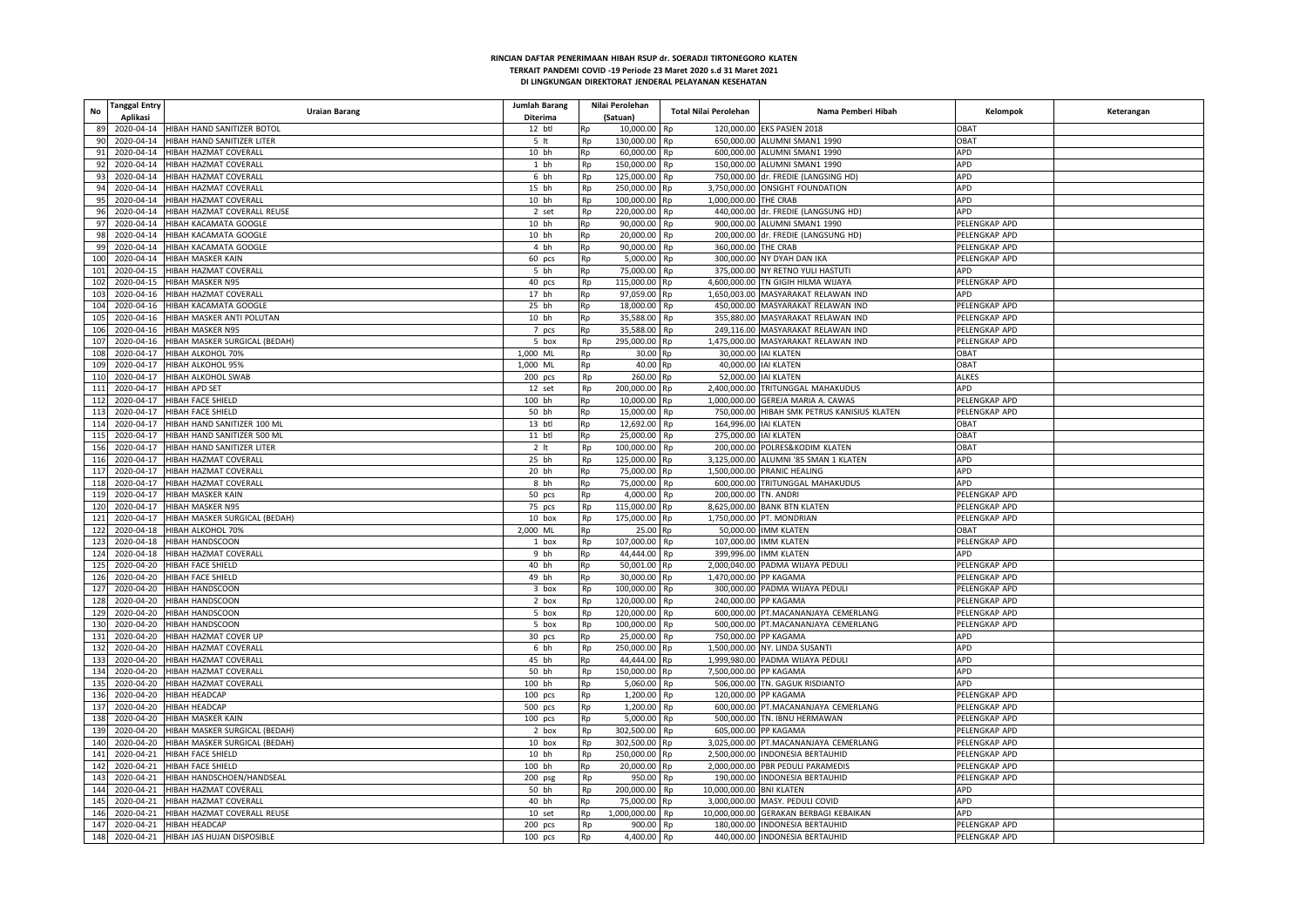| No  | <b>Tanggal Entry</b> | <b>Uraian Barang</b>                      | Jumlah Barang   |           | Nilai Perolehan | Total Nilai Perolehan          | Nama Pemberi Hibah                                                        | Kelompok                                   | Keterangan |
|-----|----------------------|-------------------------------------------|-----------------|-----------|-----------------|--------------------------------|---------------------------------------------------------------------------|--------------------------------------------|------------|
|     | Aplikasi             |                                           | Diterima        |           | (Satuan)        |                                |                                                                           |                                            |            |
| 89  | 2020-04-14           | HIBAH HAND SANITIZER BOTOL                | 12 btl          | Rp        | 10,000.00       | Rp                             | 120,000.00 EKS PASIEN 2018                                                | OBAT                                       |            |
| 90  | 2020-04-14           | HIBAH HAND SANITIZER LITER                | 5 <sub>it</sub> | Rp        | 130,000.00      | Rp                             | 650,000.00 ALUMNI SMAN1 1990                                              | <b>OBAT</b>                                |            |
| 91  | 2020-04-14           | <b>IIBAH HAZMAT COVERALI</b>              | 10 bh           | Rp        | 60,000.00       | Rp                             | 600,000.00 ALUMNI SMAN1 1990                                              | APD                                        |            |
| 92  |                      | 2020-04-14 HIBAH HAZMAT COVERALL          | 1 bh            | Rp        | 150,000.00 Rp   |                                | 150,000,00 ALUMNI SMAN1 1990                                              | APD                                        |            |
| 93  | 2020-04-14           | HIBAH HAZMAT COVERALL                     | 6 bh            | Rp        | 125,000.00      | Rp                             |                                                                           | APD<br>750,000.00 dr. FREDIE (LANGSING HD) |            |
| 94  | 2020-04-14           | HIBAH HAZMAT COVERALI                     | 15 bh           | Rp        | 250,000.00      | Rp                             | 3,750,000.00 ONSIGHT FOUNDATION                                           | APD                                        |            |
| 95  |                      | 2020-04-14 HIBAH HAZMAT COVERALL          | 10 bh           | Rp        | 100,000.00      | 1,000,000.00 THE CRAB<br>Rp    |                                                                           | APD                                        |            |
| 96  | 2020-04-14           | HIBAH HAZMAT COVERALL REUSE               | 2 set           | Rp        | 220,000.00      | Rp                             | 440,000.00 dr. FREDIE (LANGSUNG HD)                                       | APD                                        |            |
| 97  |                      | 2020-04-14 HIBAH KACAMATA GOOGLE          | 10 bh           | Rp        | 90,000.00       | Rp                             | 900,000.00 ALUMNI SMAN1 1990                                              | PELENGKAP APD                              |            |
| 98  |                      | 2020-04-14 HIBAH KACAMATA GOOGLI          | 10 bh           | Rp        | 20,000.00       | Rp                             | 200,000.00 dr. FREDIE (LANGSUNG HD)                                       | PELENGKAP APD                              |            |
| 99  | 2020-04-14           | HIBAH KACAMATA GOOGLE                     | 4 bh            | Rp        | 90,000.00       | 360,000.00 THE CRAB<br>Rp      |                                                                           | PELENGKAP APD                              |            |
| 100 |                      | 2020-04-14 HIBAH MASKER KAIN              | 60 pcs          | Rp        | 5,000.00        | Rp                             | 300,000.00 NY DYAH DAN IKA                                                | PELENGKAP APD                              |            |
| 101 | 2020-04-15           | <b>HIBAH HAZMAT COVERALL</b>              | 5 bh            | Rp        | 75,000.00       | Rp                             | 375,000.00 NY RETNO YULI HASTUTI                                          | APD                                        |            |
| 102 | 2020-04-15           | HIBAH MASKER N95                          | 40 pcs          | Rp        | 115,000.00      | Rp                             | 4,600,000.00 TN GIGIH HILMA WIJAYA                                        | PELENGKAP APD                              |            |
| 103 |                      | 2020-04-16 HIBAH HAZMAT COVERALL          | 17 bh           | Rp        | 97,059.00       | Rp                             | 1,650,003.00 MASYARAKAT RELAWAN IND                                       | APD                                        |            |
| 104 |                      | 2020-04-16 HIBAH KACAMATA GOOGLE          | 25 bh           | Rp        | 18,000.00       | Rp                             | 450,000.00 MASYARAKAT RELAWAN IND                                         | PELENGKAP APD                              |            |
| 105 |                      | 2020-04-16 HIBAH MASKER ANTI POLUTAN      | 10 bh           | Rp        | 35.588.00       | Rp                             | 355.880.00 MASYARAKAT RELAWAN IND                                         | PELENGKAP APD                              |            |
| 106 | 2020-04-16           | <b>HIBAH MASKER N95</b>                   | 7 pcs           | Rp        | 35,588.00       | Rp                             | 249,116.00 MASYARAKAT RELAWAN IND                                         | PELENGKAP APD                              |            |
| 107 | 2020-04-16           | HIBAH MASKER SURGICAL (BEDAH)             | 5 box           | Rp        | 295,000.00      | Rp                             | 1,475,000.00 MASYARAKAT RELAWAN IND                                       | PELENGKAP APD                              |            |
| 108 | 2020-04-17           | <b>HIBAH ALKOHOL 70%</b>                  | 1,000 ML        | Rp        | 30.00           | Rp                             | 30,000.00 IAI KLATEN                                                      | <b>OBAT</b>                                |            |
| 109 | 2020-04-17           | HIBAH ALKOHOL 95%                         | 1,000 ML        | Rp        | 40.00           | 40,000.00 IAI KLATEN<br>Rp     | <b>OBAT</b>                                                               |                                            |            |
| 110 | 2020-04-17           | HIBAH ALKOHOL SWAB                        | $200$ pcs       | Rp        | 260.00          | 52,000.00 IAI KLATEN<br>Rp     | <b>ALKES</b>                                                              |                                            |            |
| 111 | 2020-04-17           | <b>HIBAH APD SET</b>                      | 12 set          | Rp        | 200,000.00 Rp   |                                | 2,400,000.00 TRITUNGGAL MAHAKUDUS                                         | APD                                        |            |
| 112 | 2020-04-17           | HIBAH FACE SHIELD                         | 100 bh          | Rp        | 10,000.00       | Rp                             | 1,000,000.00 GEREJA MARIA A. CAWAS<br>PELENGKAP APD                       |                                            |            |
| 113 | 2020-04-17           | HIBAH FACE SHIELD                         | 50 bh           | Rp        | 15,000.00       | Rp                             | 750,000.00 HIBAH SMK PETRUS KANISIUS KLATEN<br>PELENGKAP APD              |                                            |            |
| 114 | 2020-04-17           | HIBAH HAND SANITIZER 100 ML               | 13 btl          | Rp        | 12,692.00       | 164,996.00 IAI KLATEN<br>Rp    | <b>OBAT</b>                                                               |                                            |            |
| 115 | 2020-04-17           | HIBAH HAND SANITIZER 500 ML               | 11 btl          | Rp        | 25,000.00       | 275,000.00 IAI KLATEN<br>Rp    | OBAT                                                                      |                                            |            |
| 156 | 2020-04-17           | HIBAH HAND SANITIZER LITER                | 2 <sub>lt</sub> | Rp        | 100,000.00      | Rp                             | OBAT<br>200.000.00 POLRES&KODIM KLATEN                                    |                                            |            |
| 116 | 2020-04-17           | HIBAH HAZMAT COVERALL                     | 25 bh           | Rp        | 125,000.00      | Rp                             | APD<br>3,125,000.00 ALUMNI '85 SMAN 1 KLATEN                              |                                            |            |
| 117 | 2020-04-17           | HIBAH HAZMAT COVERALL                     | 20 bh           | Rp        | 75,000.00       | Rp                             | 1,500,000.00 PRANIC HEALING                                               | APD                                        |            |
| 118 | 2020-04-17           | HIBAH HAZMAT COVERALL                     | 8 bh            | <b>Rp</b> | 75,000.00       | Rp                             | 600,000.00 TRITUNGGAL MAHAKUDUS                                           | APD                                        |            |
| 119 |                      | 2020-04-17 HIBAH MASKER KAIN              | 50 pcs          | Rp        | 4,000.00        | 200,000.00 TN. ANDRI<br>Rp     |                                                                           | PELENGKAP APD                              |            |
| 120 |                      | 2020-04-17 HIBAH MASKER N95               | 75 pcs          | Rp        | 115,000.00      | Rp                             | 8,625,000.00 BANK BTN KLATEN                                              | PELENGKAP APD                              |            |
| 121 | 2020-04-17           | HIBAH MASKER SURGICAL (BEDAH)             | 10 box          | Rp        | 175,000.00      | Rp                             | 1,750,000.00 PT. MONDRIAN                                                 | PELENGKAP APD                              |            |
| 122 |                      | 2020-04-18 HIBAH ALKOHOL 70%              | 2,000 ML        | Rp        | 25.00           | Rp                             | 50,000.00 IMM KLATEN                                                      | <b>TABO</b>                                |            |
| 123 | 2020-04-18           | HIBAH HANDSCOON                           | 1 box           | Rp        | 107,000.00      | Rp                             | 107,000.00 IMM KLATEN                                                     | PELENGKAP APD                              |            |
| 124 | 2020-04-18           | HIBAH HAZMAT COVERALL                     | 9 bh            | Rp        | 44,444.00       | Rp                             | 399,996.00 IMM KLATEN                                                     | <b>APD</b>                                 |            |
| 125 |                      | 2020-04-20 HIBAH FACE SHIELD              | 40 bh           | Rp        | 50,001.00       | Rp                             | 2,000,040.00 PADMA WIJAYA PEDULI                                          | PELENGKAP APD                              |            |
| 126 | 2020-04-20           | HIBAH FACE SHIELD                         | 49 bh           | Rp        | 30,000.00       | 1,470,000.00 PP KAGAMA<br>Rp   |                                                                           | PELENGKAP APD                              |            |
| 127 | 2020-04-20           | HIBAH HANDSCOON                           | 3 box           | Rp        | 100,000.00      | Rp                             | 300,000.00 PADMA WIJAYA PEDULI                                            | PELENGKAP APD                              |            |
| 128 | 2020-04-20           | <b>HIBAH HANDSCOON</b>                    | 2 box           | Rp        | 120,000.00      | Rp                             | 240,000.00 PP KAGAMA                                                      | PELENGKAP APD                              |            |
| 129 | 2020-04-20           | HIBAH HANDSCOON                           | 5 box           | Rp        | 120,000.00      | Rp                             | 600,000.00 PT.MACANANJAYA CEMERLANG                                       | PELENGKAP APD                              |            |
| 130 |                      | 2020-04-20 HIBAH HANDSCOON                | 5 box           | Rp        | 100,000.00      | Rp                             | 500,000.00 PT.MACANANJAYA CEMERLANG                                       | PELENGKAP APD                              |            |
| 131 | 2020-04-20           | HIBAH HAZMAT COVER UP                     | 30 pcs          | Rp        | 25,000.00       | Rp                             | 750,000.00 PP KAGAMA                                                      | APD                                        |            |
| 132 | 2020-04-20           | HIBAH HAZMAT COVERALI                     | 6 bh            | Rp        | 250,000.00      | Rp                             | APD<br>1,500,000.00 NY. LINDA SUSANTI                                     |                                            |            |
| 133 |                      | 2020-04-20 HIBAH HAZMAT COVERALL          | 45 bh           | Rp        | 44,444.00       | Rp                             | 1,999,980.00 PADMA WIJAYA PEDULI                                          | APD                                        |            |
| 134 | 2020-04-20           | <b>HIBAH HAZMAT COVERALL</b>              | 50 bh           | Rp        | 150,000.00      | 7,500,000.00 PP KAGAMA<br>Rp   |                                                                           | APD                                        |            |
| 135 | 2020-04-20           | HIBAH HAZMAT COVERALL                     | 100 bh          | Rp        | 5,060.00        | Rp                             | 506,000.00 TN. GAGUK RISDIANTO                                            | APD                                        |            |
| 136 | 2020-04-20           | <b>HIBAH HEADCAP</b>                      | 100 pcs         | Rp        | 1,200.00        | Rp                             | 120,000.00 PP KAGAMA                                                      | PELENGKAP APD                              |            |
| 137 | 2020-04-20           | <b>HIBAH HEADCAP</b>                      | 500 pcs         | Rp        | 1,200.00        | Rp                             | 600,000.00 PT.MACANANJAYA CEMERLANG                                       | PELENGKAP APD                              |            |
| 138 |                      | 2020-04-20 HIBAH MASKER KAIN              | $100$ pcs       | Rp        | 5,000.00        | Rp                             | 500,000.00 TN. IBNU HERMAWAN                                              | PELENGKAP APD                              |            |
| 139 | 2020-04-20           | HIBAH MASKER SURGICAL (BEDAH)             | 2 box           |           | 302,500.00      | Rp                             | 605,000.00 PP KAGAMA                                                      | PELENGKAP APD                              |            |
|     | 2020-04-20           | HIBAH MASKER SURGICAL (BEDAH)             | 10 box          | Rp        |                 |                                |                                                                           |                                            |            |
| 140 |                      |                                           |                 | Rp        | 302,500.00      | Rp                             | 3,025,000.00 PT.MACANANJAYA CEMERLANG<br>2,500,000.00 INDONESIA BERTAUHID | PELENGKAP APD                              |            |
| 141 |                      | 2020-04-21 HIBAH FACE SHIELD              | 10 bh           | Rp        | 250,000.00      | Rp                             |                                                                           | PELENGKAP APD                              |            |
| 142 | 2020-04-21           | HIBAH FACE SHIELD                         | 100 bh          | Rp        | 20,000.00       | Rp                             | 2,000,000.00 PBR PEDULI PARAMEDIS                                         | PELENGKAP APD                              |            |
| 143 |                      | 2020-04-21 HIBAH HANDSCHOEN/HANDSEAL      | $200$ psg       | Rp        | 950.00          | <b>Rp</b>                      | 190.000.00 INDONESIA BERTAUHID                                            | PELENGKAP APD                              |            |
| 144 | 2020-04-21           | HIBAH HAZMAT COVERALL                     | 50 bh           | Rp        | 200,000.00      | Rp<br>10,000,000.00 BNI KLATEN |                                                                           | APD                                        |            |
| 145 | 2020-04-21           | HIBAH HAZMAT COVERALL                     | 40 bh           | Rp        | 75,000.00       | Rp                             | 3,000,000.00 MASY. PEDULI COVID<br>APD                                    |                                            |            |
| 146 |                      | 2020-04-21 HIBAH HAZMAT COVERALL REUSE    | 10 set          | Rp        | 1,000,000.00    | Rp                             | 10,000,000.00 GERAKAN BERBAGI KEBAIKAN                                    | APD                                        |            |
|     |                      | 147 2020-04-21 HIBAH HEADCAP              | 200 pcs         | Rp        | 900.00          | Rp                             | 180,000.00 INDONESIA BERTAUHID                                            | PELENGKAP APD                              |            |
|     |                      | 148 2020-04-21 HIBAH JAS HUJAN DISPOSIBLE | $100$ pcs       | Rp        | 4,400.00        | Rp                             | 440,000.00 INDONESIA BERTAUHID                                            | PELENGKAP APD                              |            |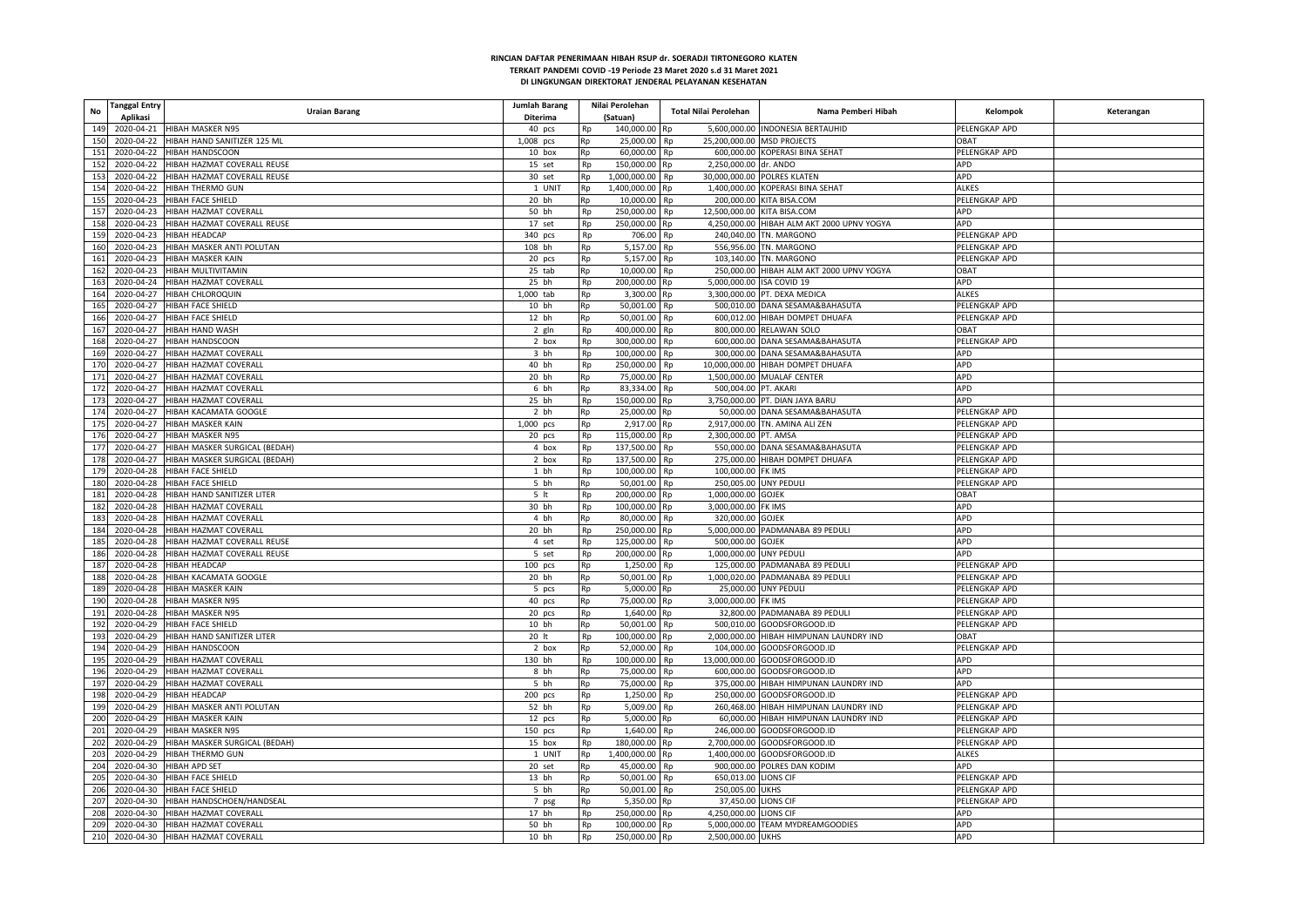| <b>Tanggal Entry</b><br>No | <b>Uraian Barang</b>                     | Jumlah Barang   |          | Nilai Perolehan            | <b>Total Nilai Perolehan</b>      | Nama Pemberi Hibah                         | Kelompok      | Keterangan |
|----------------------------|------------------------------------------|-----------------|----------|----------------------------|-----------------------------------|--------------------------------------------|---------------|------------|
| Aplikasi                   |                                          | Diterima        |          | (Satuan)                   |                                   |                                            |               |            |
| 149                        | 2020-04-21 HIBAH MASKER N95              | 40 pcs          | Rp       | 140,000.00 Rp              |                                   | 5,600,000.00 INDONESIA BERTAUHID           | PELENGKAP APD |            |
| 150                        | 2020-04-22 HIBAH HAND SANITIZER 125 ML   | 1,008 pcs       | Rp       | 25,000.00                  | Rp<br>25.200.000.00 MSD PROJECTS  |                                            | <b>OBAT</b>   |            |
| 151                        | 2020-04-22 HIBAH HANDSCOON               | 10 box          | Rp       | 60,000.00                  | Rp                                | 600,000.00 KOPERASI BINA SEHAT             | PELENGKAP APD |            |
| 152                        | 2020-04-22 HIBAH HAZMAT COVERALL REUSE   | 15 set          | Rp       | 150,000.00 Rp              | 2,250,000.00 dr. ANDO             |                                            | APD           |            |
| 153                        | 2020-04-22 HIBAH HAZMAT COVERALL REUSE   | 30 set          | Rp       | 1,000,000.00               | Rp                                | 30,000,000.00 POLRES KLATEN                | <b>APD</b>    |            |
| 154<br>2020-04-22          | <b>HIBAH THERMO GUN</b>                  | 1 UNIT          | Rp       | 1,400,000.00               | Rp                                | 1,400,000.00 KOPERASI BINA SEHAT           | ALKES         |            |
| 155                        | 2020-04-23 HIBAH FACE SHIELD             | 20 bh           | Rp       | 10,000.00                  | Rp                                | 200,000.00 KITA BISA.COM                   | PELENGKAP APD |            |
| 157                        | 2020-04-23 HIBAH HAZMAT COVERALL         | 50 bh           | Rp       | 250,000.00                 | 12,500,000.00 KITA BISA.COM<br>Rp |                                            | APD           |            |
| 158                        | 2020-04-23 HIBAH HAZMAT COVERALL REUSE   | 17 set          | Rp       | 250,000.00                 | Rn                                | 4,250,000.00 HIBAH ALM AKT 2000 UPNV YOGYA | APD           |            |
| 159                        | 2020-04-23 HIBAH HEADCAP                 | 340 pcs         | Rp       | 706.00                     | Rp                                | 240,040.00 TN. MARGONO                     | PELENGKAP APD |            |
| 160                        | 2020-04-23 HIBAH MASKER ANTI POLUTAN     | 108 bh          | Rp       | 5,157.00                   | Rp                                | 556,956.00 TN. MARGONO                     | PELENGKAP APD |            |
| 161                        | 2020-04-23 HIBAH MASKER KAIN             | 20 pcs          | Rp       | 5,157.00                   | Rp                                | 103,140.00 TN. MARGONO                     | PELENGKAP APD |            |
| 162                        | 2020-04-23 HIBAH MULTIVITAMIN            |                 |          |                            |                                   |                                            | OBAT          |            |
| 163                        | 2020-04-24 HIBAH HAZMAT COVERALL         | 25 tab<br>25 bh | Rp<br>Rp | 10,000.00<br>200,000.00 Rp | Rp<br>5,000,000.00 ISA COVID 19   | 250,000.00 HIBAH ALM AKT 2000 UPNV YOGYA   | APD           |            |
|                            |                                          |                 |          |                            |                                   |                                            |               |            |
| 164                        | 2020-04-27 HIBAH CHLOROQUIN              | 1,000 tab       | Rp       | 3,300.00 Rp                |                                   | 3,300,000.00 PT. DEXA MEDICA               | <b>ALKES</b>  |            |
| 165<br>2020-04-27          | HIBAH FACE SHIELD                        | 10 bh           | Rp       | 50,001.00                  | Rp                                | 500,010.00 DANA SESAMA&BAHASUTA            | PELENGKAP APD |            |
| 166                        | 2020-04-27 HIBAH FACE SHIELD             | 12 bh           | Rp       | 50,001.00                  | Rp                                | 600,012.00 HIBAH DOMPET DHUAFA             | PELENGKAP APD |            |
| 167<br>2020-04-27          | <b>HIBAH HAND WASH</b>                   | 2 gln           | Rp       | 400,000.00                 | Rp                                | 800,000.00 RELAWAN SOLO                    | TABO          |            |
| 168<br>2020-04-27          | HIBAH HANDSCOON                          | 2 box           | Rp       | 300,000.00                 | Rp                                | 600,000.00 DANA SESAMA&BAHASUTA            | PELENGKAP APD |            |
| 169                        | 2020-04-27 HIBAH HAZMAT COVERALL         | 3 bh            | Rp       | 100,000.00                 | Rp                                | 300,000.00 DANA SESAMA&BAHASUTA            | <b>APD</b>    |            |
| 170<br>2020-04-27          | HIBAH HAZMAT COVERALI                    | 40 bh           | Rp       | 250,000.00                 | Rp                                | 10,000,000.00 HIBAH DOMPET DHUAFA          | <b>APD</b>    |            |
| 171<br>2020-04-27          | HIBAH HAZMAT COVERALL                    | 20 bh           | Rp       | 75,000.00 Rp               |                                   | 1,500,000.00 MUALAF CENTER                 | <b>APD</b>    |            |
| 172<br>2020-04-27          | HIBAH HAZMAT COVERALL                    | 6 bh            | Rp       | 83,334.00 Rp               | 500,004.00 PT. AKARI              |                                            | APD           |            |
| 173<br>2020-04-27          | HIBAH HAZMAT COVERALI                    | 25 bh           | Rp       | 150,000.00                 | Rp                                | 3,750,000.00 PT. DIAN JAYA BARU            | APD           |            |
| 174                        | 2020-04-27 HIBAH KACAMATA GOOGLE         | 2 bh            | Rp       | 25,000.00                  | Rn                                | 50,000.00 DANA SESAMA&BAHASUTA             | PELENGKAP APD |            |
| 175                        | 2020-04-27 HIBAH MASKER KAIN             | 1,000 pcs       | Rp       | 2,917.00 Rp                |                                   | 2,917,000.00 TN. AMINA ALI ZEN             | PELENGKAP APD |            |
| 176<br>2020-04-27          | <b>HIBAH MASKER N95</b>                  | 20 pcs          | Rp       | 115,000.00 Rp              | 2,300,000.00 PT. AMSA             |                                            | PELENGKAP APD |            |
| 177                        | 2020-04-27 HIBAH MASKER SURGICAL (BEDAH) | 4 box           | Rp       | 137,500.00                 | Rp                                | 550,000.00 DANA SESAMA&BAHASUTA            | PELENGKAP APD |            |
| 178                        | 2020-04-27 HIBAH MASKER SURGICAL (BEDAH) | 2 box           | Rp       | 137,500.00                 | Rp                                | 275,000.00 HIBAH DOMPET DHUAFA             | PELENGKAP APD |            |
| 179                        | 2020-04-28 HIBAH FACE SHIELD             | 1 bh            | Rp       | 100,000.00                 | 100,000.00 FK IMS<br>Rp           |                                            | PELENGKAP APD |            |
| 180                        | 2020-04-28 HIBAH FACE SHIELD             | 5 bh            | Rp       | 50,001.00                  | 250,005.00 UNY PEDULI<br>Rp       |                                            | PELENGKAP APD |            |
| 181                        | 2020-04-28 HIBAH HAND SANITIZER LITER    | 5 <sub>it</sub> | Rp       | 200,000.00                 | 1,000,000.00 GOJEK<br>Rp          |                                            | OBAT          |            |
| 182                        | 2020-04-28 HIBAH HAZMAT COVERALL         | 30 bh           | Rp       | 100,000.00 Rp              | 3,000,000.00 FK IMS               |                                            | APD           |            |
| 183<br>2020-04-28          | <b>HIBAH HAZMAT COVERALL</b>             | 4 bh            | Rp       | 80,000.00                  | Rp<br>320,000.00 GOJEK            |                                            | APD           |            |
| 184<br>2020-04-28          | HIBAH HAZMAT COVERALL                    | 20 bh           | Rp       | 250,000.00 Rp              |                                   | 5,000,000.00 PADMANABA 89 PEDULI           | APD           |            |
| 185                        | 2020-04-28 HIBAH HAZMAT COVERALL REUSE   | 4 set           |          | 125,000.00                 | 500,000.00 GOJEK<br>Rp            |                                            | APD           |            |
| 186                        | 2020-04-28 HIBAH HAZMAT COVERALL REUSE   |                 | Rp       |                            | 1,000,000.00 UNY PEDULI           |                                            | APD           |            |
|                            |                                          | 5 set           | Rp       | 200,000.00                 | Rp                                |                                            |               |            |
| 187                        | 2020-04-28 HIBAH HEADCAP                 | 100 pcs         | Rp       | 1,250.00                   | Rp                                | 125,000.00 PADMANABA 89 PEDULI             | PELENGKAP APD |            |
| 188                        | 2020-04-28 HIBAH KACAMATA GOOGLE         | 20 bh           | Rp       | 50.001.00 Rp               |                                   | 1.000.020.00 PADMANABA 89 PEDULI           | PELENGKAP APD |            |
| 189                        | 2020-04-28 HIBAH MASKER KAIN             | 5 pcs           | Rp       | 5,000.00                   | Rp                                | 25,000.00 UNY PEDULI                       | PELENGKAP APD |            |
| 190                        | 2020-04-28 HIBAH MASKER N95              | 40 pcs          | Rp       | 75,000.00 Rp               | 3,000,000.00 FK IMS               |                                            | PELENGKAP APD |            |
| 191                        | 2020-04-28 HIBAH MASKER N95              | 20 pcs          | Rp       | 1,640.00                   |                                   | 32,800.00 PADMANABA 89 PEDULI              | PELENGKAP APD |            |
| 192                        | 2020-04-29 HIBAH FACE SHIELD             | 10 bh           | Rp       | 50.001.00                  | Rp                                | 500.010.00 GOODSFORGOOD.ID                 | PELENGKAP APD |            |
| 193                        | 2020-04-29 HIBAH HAND SANITIZER LITER    | 20 lt           | Rp       | 100,000.00                 | Rp                                | 2,000,000.00 HIBAH HIMPUNAN LAUNDRY IND    | OBAT          |            |
| 194                        | 2020-04-29 HIBAH HANDSCOON               | 2 box           | Rp       | 52,000.00                  | Rp                                | 104,000.00 GOODSFORGOOD.ID                 | PELENGKAP APD |            |
| 195                        | 2020-04-29 HIBAH HAZMAT COVERALL         | 130 bh          | Rp       | 100,000.00                 | Rp                                | 13,000,000.00 GOODSFORGOOD.ID              | APD           |            |
| 196                        | 2020-04-29 HIBAH HAZMAT COVERALI         | 8 bh            | Rp       | 75,000.00                  | Rp                                | 600,000.00 GOODSFORGOOD.ID                 | APD           |            |
| 197                        | 2020-04-29 HIBAH HAZMAT COVERALL         | 5 bh            | Rp       | 75,000.00                  | Rp                                | 375,000.00 HIBAH HIMPUNAN LAUNDRY IND      | APD           |            |
| 198                        | 2020-04-29 HIBAH HEADCAP                 | 200 pcs         | Rp       | 1,250.00                   | Rp                                | 250,000.00 GOODSFORGOOD.ID                 | PELENGKAP APD |            |
| 199                        | 2020-04-29 HIBAH MASKER ANTI POLUTAN     | 52 bh           | Rp       | 5,009.00                   | Rp                                | 260,468.00 HIBAH HIMPUNAN LAUNDRY IND      | PELENGKAP APD |            |
| 200                        | 2020-04-29 HIBAH MASKER KAIN             | 12 pcs          | Rp       | 5,000.00 Rp                |                                   | 60,000.00 HIBAH HIMPUNAN LAUNDRY IND       | PELENGKAP APD |            |
| 201                        | 2020-04-29 HIBAH MASKER N95              | $150$ pcs       | Rp       | 1,640.00                   | Rp                                | 246,000.00 GOODSFORGOOD.ID                 | PELENGKAP APD |            |
| 202                        | 2020-04-29 HIBAH MASKER SURGICAL (BEDAH) | 15 box          | Rp       | 180,000.00                 | Rn                                | 2,700,000.00 GOODSFORGOOD.ID               | PELENGKAP APD |            |
| 203                        | 2020-04-29 HIBAH THERMO GUN              | 1 UNIT          | Rp       | 1,400,000.00 Rp            |                                   | 1,400,000.00 GOODSFORGOOD.ID               | ALKES         |            |
| 204                        | 2020-04-30 HIBAH APD SET                 | 20 set          | Rp       | 45,000.00                  | Rp                                | 900,000.00 POLRES DAN KODIM                | APD           |            |
| 205                        | 2020-04-30 HIBAH FACE SHIELD             | 13 bh           | Rp       | 50.001.00                  | Rp<br>650,013.00 LIONS CIF        |                                            | PELENGKAP APD |            |
| 206                        | 2020-04-30 HIBAH FACE SHIELD             | 5 bh            | Rp       | 50,001.00                  | 250,005.00 UKHS<br>Rp             |                                            | PELENGKAP APD |            |
| 207                        | 2020-04-30 HIBAH HANDSCHOEN/HANDSEAL     |                 |          | 5,350.00                   | 37,450.00 LIONS CIF               |                                            | PELENGKAP APD |            |
| 208                        | 2020-04-30 HIBAH HAZMAT COVERALL         | 7 psg<br>17 bh  | Rp       | 250,000.00 Rp              | 4,250,000.00 LIONS CIF            |                                            | APD           |            |
|                            |                                          |                 | Rp       |                            |                                   |                                            |               |            |
|                            | 209 2020-04-30 HIBAH HAZMAT COVERALL     | 50 bh           | Rp       | 100,000.00 Rp              |                                   | 5,000,000.00 TEAM MYDREAMGOODIES           | APD           |            |
|                            | 210 2020-04-30 HIBAH HAZMAT COVERALL     | 10 bh           | Rp       | 250,000.00 Rp              | 2,500,000.00 UKHS                 |                                            | <b>APD</b>    |            |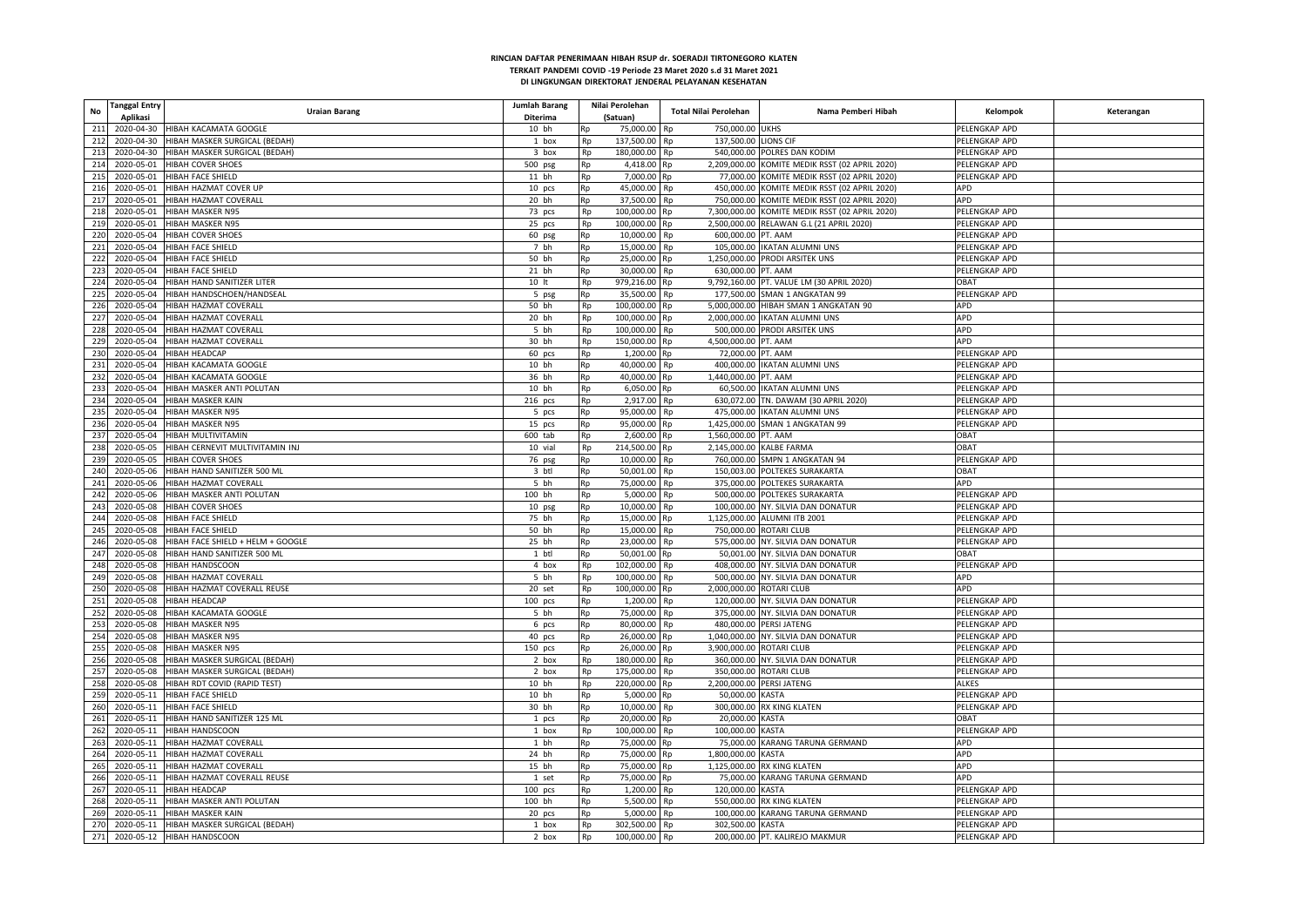| <b>Tanggal Entry</b><br><b>No</b><br>Aplikasi | <b>Uraian Barang</b>                     | Jumlah Barang<br>Diterima |    | Nilai Perolehan<br>(Satuan) | Total Nilai Perolehan                 | Nama Pemberi Hibah                             | Kelompok      | Keterangan |
|-----------------------------------------------|------------------------------------------|---------------------------|----|-----------------------------|---------------------------------------|------------------------------------------------|---------------|------------|
| 211                                           | 2020-04-30 HIBAH KACAMATA GOOGLE         | 10 bh                     |    | 75,000.00 Rp                | 750,000.00 UKHS                       |                                                | PELENGKAP APD |            |
|                                               |                                          |                           | Rp |                             |                                       |                                                |               |            |
| 212                                           | 2020-04-30 HIBAH MASKER SURGICAL (BEDAH) | 1 box                     | Rp | 137,500.00                  | 137,500.00 LIONS CIF<br>Rp            |                                                | PELENGKAP APD |            |
| 213                                           | 2020-04-30 HIBAH MASKER SURGICAL (BEDAH) | 3 box                     | Rp | 180,000.00 Rp               |                                       | 540,000.00 POLRES DAN KODIM                    | PELENGKAP APD |            |
| 214                                           | 2020-05-01 HIBAH COVER SHOES             | 500 psg                   | Rp | 4,418.00 Rp                 |                                       | 2,209,000.00 KOMITE MEDIK RSST (02 APRIL 2020) | PELENGKAP APD |            |
| 215                                           | 2020-05-01 HIBAH FACE SHIELD             | 11 bh                     | Rp | 7,000.00 Rp                 |                                       | 77,000.00 KOMITE MEDIK RSST (02 APRIL 2020)    | PELENGKAP APD |            |
| 216                                           | 2020-05-01 HIBAH HAZMAT COVER UP         | $10$ pcs                  | Rp | 45.000.00                   | Rp                                    | 450.000.00 KOMITE MEDIK RSST (02 APRIL 2020)   | APD           |            |
| 217<br>2020-05-01                             | HIBAH HAZMAT COVERALI                    | 20 bh                     | Rp | 37,500.00                   | Rp                                    | 750,000.00 KOMITE MEDIK RSST (02 APRIL 2020)   | APD           |            |
| 218<br>2020-05-01                             | HIBAH MASKER N95                         | 73 pcs                    | Rp | 100,000.00                  | Rp                                    | 7,300,000.00 KOMITE MEDIK RSST (02 APRIL 2020) | PELENGKAP APD |            |
| 219                                           | 2020-05-01 HIBAH MASKER N95              | 25 pcs                    | Rp | 100,000.00                  | Rp                                    | 2,500,000.00 RELAWAN G.L (21 APRIL 2020)       | PELENGKAP APD |            |
| 220                                           | 2020-05-04 HIBAH COVER SHOES             | 60 psg                    | Rp | 10,000.00                   | <b>Rp</b><br>600,000.00 PT. AAM       |                                                | PELENGKAP APD |            |
| 221<br>2020-05-04                             | <b>HIBAH FACE SHIELD</b>                 | 7 bh                      | Rp | 15,000.00                   | Rp                                    | 105,000.00 IKATAN ALUMNI UNS                   | PELENGKAP APD |            |
| 222                                           | 2020-05-04 HIBAH FACE SHIELD             | 50 bh                     | Rp | 25,000.00                   | Rp                                    | 1,250,000.00 PRODI ARSITEK UNS                 | PELENGKAP APD |            |
| 223                                           | 2020-05-04 HIBAH FACE SHIELD             | 21 bh                     | Rp | 30,000.00                   | 630,000.00 PT. AAM<br>Rp              |                                                | PELENGKAP APD |            |
| 224                                           | 2020-05-04 HIBAH HAND SANITIZER LITER    | 10 <sup>h</sup>           | Rp | 979,216.00                  | Rp                                    | 9,792,160.00 PT. VALUE LM (30 APRIL 2020)      | OBAT          |            |
|                                               |                                          |                           |    |                             |                                       |                                                |               |            |
| 225                                           | 2020-05-04 HIBAH HANDSCHOEN/HANDSEAL     | 5 psg                     | Rp | 35,500.00                   | Rp                                    | 177,500.00 SMAN 1 ANGKATAN 99                  | PELENGKAP APD |            |
| 226                                           | 2020-05-04 HIBAH HAZMAT COVERALI         | 50 bh                     | Rp | 100,000.00                  | Rp                                    | 5,000,000.00 HIBAH SMAN 1 ANGKATAN 90          | APD           |            |
| 227                                           | 2020-05-04 HIBAH HAZMAT COVERALL         | 20 bh                     | Rp | 100,000.00 Rp               |                                       | 2,000,000.00 IKATAN ALUMNI UNS                 | APD           |            |
|                                               | 228 2020-05-04 HIBAH HAZMAT COVERALL     | 5 bh                      | Rp | 100,000.00 Rp               |                                       | 500,000.00 PRODI ARSITEK UNS                   | <b>APD</b>    |            |
| 229                                           | 2020-05-04 HIBAH HAZMAT COVERALL         | 30 bh                     | Rp | 150,000.00                  | 4,500,000.00 PT. AAM<br>Rp            |                                                | APD           |            |
| 230                                           | 2020-05-04 HIBAH HEADCAP                 | 60 pcs                    | Rp | 1,200.00                    | 72,000.00 PT. AAM<br>Rp               |                                                | PELENGKAP APD |            |
| 231                                           | 2020-05-04 HIBAH KACAMATA GOOGLE         | 10 bh                     | Rp | 40,000.00                   | Rp                                    | 400,000.00 IKATAN ALUMNI UNS                   | PELENGKAP APD |            |
| 232                                           | 2020-05-04 HIBAH KACAMATA GOOGLE         | 36 bh                     | Rp | 40,000.00 Rp                | 1.440.000.00 PT. AAM                  |                                                | PELENGKAP APD |            |
| 233<br>2020-05-04                             | HIBAH MASKER ANTI POLUTAN                | 10 bh                     | Rp | 6,050.00                    | Rp                                    | 60,500.00 IKATAN ALUMNI UNS                    | PELENGKAP APD |            |
| 234<br>2020-05-04                             | HIBAH MASKER KAIN                        | 216 pcs                   | Rp | 2,917.00                    | R <sub>n</sub>                        | 630,072.00 TN. DAWAM (30 APRIL 2020)           | PELENGKAP APD |            |
| 235                                           | 2020-05-04 HIBAH MASKER N95              | 5 pcs                     | Rp | 95,000.00                   | Rp                                    | 475,000.00 IKATAN ALUMNI UNS                   | PELENGKAP APD |            |
| 236                                           | 2020-05-04 HIBAH MASKER N95              | 15 pcs                    | Rp | 95,000.00                   | Rp                                    | 1,425,000.00 SMAN 1 ANGKATAN 99                | PELENGKAP APD |            |
| 237                                           | 2020-05-04 HIBAH MULTIVITAMIN            | 600 tab                   | Rp | 2.600.00                    | 1.560.000.00 PT. AAM<br><b>Rp</b>     |                                                | <b>DBAT</b>   |            |
| 238<br>2020-05-05                             |                                          |                           |    | 214.500.00                  | 2.145.000.00 KALBE FARMA<br><b>Rn</b> |                                                | <b>DBAT</b>   |            |
|                                               | HIBAH CERNEVIT MULTIVITAMIN INJ          | 10 vial                   | Rp |                             |                                       |                                                |               |            |
| 239                                           | 2020-05-05 HIBAH COVER SHOES             | 76 psg                    | Rp | 10,000.00                   | Rp                                    | 760,000.00 SMPN 1 ANGKATAN 94                  | PELENGKAP APD |            |
| 240                                           | 2020-05-06 HIBAH HAND SANITIZER 500 ML   | 3 btl                     | Rp | 50,001.00                   | Rp                                    | 150,003.00 POLTEKES SURAKARTA                  | <b>OBAT</b>   |            |
| 241                                           | 2020-05-06 HIBAH HAZMAT COVERALL         | 5 bh                      | Rp | 75,000.00                   | <b>Rp</b>                             | 375.000.00 POLTEKES SURAKARTA                  | <b>APD</b>    |            |
| 242                                           | 2020-05-06 HIBAH MASKER ANTI POLUTAN     | 100 bh                    | Rp | 5,000.00                    | Rp                                    | 500,000.00 POLTEKES SURAKARTA                  | PELENGKAP APD |            |
| 243                                           | 2020-05-08 HIBAH COVER SHOES             | 10 psg                    | Rp | 10,000.00                   | Rp                                    | 100,000.00 NY. SILVIA DAN DONATUR              | PELENGKAP APD |            |
| 244                                           | 2020-05-08 HIBAH FACE SHIELD             | 75 bh                     | Rp | 15,000.00                   | Rp                                    | 1,125,000.00 ALUMNI ITB 2001                   | PELENGKAP APD |            |
| 245                                           | 2020-05-08 HIBAH FACE SHIELD             | 50 bh                     | Rp | 15,000.00                   | Rn                                    | 750,000.00 ROTARI CLUB                         | PELENGKAP APD |            |
| 246<br>2020-05-08                             | HIBAH FACE SHIELD + HELM + GOOGLE        | 25 bh                     | Rp | 23,000.00                   | Rp                                    | 575,000.00 NY. SILVIA DAN DONATUR              | PELENGKAP APD |            |
| 247<br>2020-05-08                             | HIBAH HAND SANITIZER 500 ML              | 1 btl                     | Rp | 50,001.00                   | Rp                                    | 50,001.00 NY. SILVIA DAN DONATUR               | OBAT          |            |
| 248                                           | 2020-05-08 HIBAH HANDSCOON               | 4 box                     | Rp | 102,000.00                  | Rp                                    | 408,000.00 NY. SILVIA DAN DONATUR              | PELENGKAP APD |            |
| 249<br>2020-05-08                             | HIBAH HAZMAT COVERALI                    | 5 bh                      | Rp | 100,000.00                  | <b>Rp</b>                             | 500,000.00 NY. SILVIA DAN DONATUR              | APD           |            |
| 250<br>2020-05-08                             | HIBAH HAZMAT COVERALL REUSE              | 20 set                    | Rp | 100,000.00                  | 2,000,000.00 ROTARI CLUB<br>Rp        |                                                | APD           |            |
| 251                                           | 2020-05-08 HIBAH HEADCAP                 | $100$ pcs                 | Rp | 1,200.00                    | Rp                                    | 120,000.00 NY. SILVIA DAN DONATUR              | PELENGKAP APD |            |
| 252                                           | 2020-05-08 HIBAH KACAMATA GOOGLE         | 5 bh                      | Rp | 75,000.00                   | Ro                                    | 375,000.00 NY. SILVIA DAN DONATUR              | PELENGKAP APD |            |
| 253                                           | 2020-05-08 HIBAH MASKER N95              | 6 pcs                     | Rp | 80,000.00                   | Rp                                    | 480,000.00 PERSI JATENG                        | PELENGKAP APD |            |
| 254<br>2020-05-08                             | <b>HIBAH MASKER N95</b>                  | 40 pcs                    |    | 26,000.00                   |                                       | 1,040,000.00 NY. SILVIA DAN DONATUR            | PELENGKAP APD |            |
|                                               |                                          |                           | Rp |                             | Rp                                    |                                                |               |            |
| 255<br>2020-05-08                             | HIBAH MASKER N95                         | 150 pcs                   | Rp | 26,000.00                   | 3,900,000.00 ROTARI CLUB<br>Rp        |                                                | PELENGKAP APD |            |
| 256                                           | 2020-05-08 HIBAH MASKER SURGICAL (BEDAH) | 2 box                     | Rp | 180,000.00                  | Rp                                    | 360,000.00 NY. SILVIA DAN DONATUR              | PELENGKAP APD |            |
| 257                                           | 2020-05-08 HIBAH MASKER SURGICAL (BEDAH) | 2 box                     | Rp | 175,000.00                  | Ro                                    | 350,000.00 ROTARI CLUB                         | PELENGKAP APD |            |
| 258<br>2020-05-08                             | HIBAH RDT COVID (RAPID TEST)             | 10 bh                     | Rp | 220,000.00                  | Rp                                    | 2,200,000.00 PERSI JATENG                      | <b>ALKES</b>  |            |
| 259                                           | 2020-05-11 HIBAH FACE SHIELD             | 10 bh                     | Rp | 5.000.00                    | 50.000.00 KASTA<br>Rn                 |                                                | PELENGKAP APD |            |
| 260                                           | 2020-05-11 HIBAH FACE SHIELD             | 30 bh                     | Rp | 10,000.00                   | Rp                                    | 300,000.00 RX KING KLATEN                      | PELENGKAP APD |            |
| 261                                           | 2020-05-11 HIBAH HAND SANITIZER 125 ML   | 1 pcs                     | Rp | 20,000.00 Rp                | 20,000.00 KASTA                       |                                                | <b>TABO</b>   |            |
| 262                                           | 2020-05-11 HIBAH HANDSCOON               | 1 box                     | Rp | 100,000.00                  | 100,000.00 KASTA<br>Rp                |                                                | PELENGKAP APD |            |
| 263                                           | 2020-05-11 HIBAH HAZMAT COVERALL         | 1 bh                      | Rp | 75.000.00                   |                                       | 75,000.00 KARANG TARUNA GERMAND                | APD           |            |
| 264                                           | 2020-05-11 HIBAH HAZMAT COVERALL         | 24 bh                     | Rp | 75,000.00 Rp                | 1,800,000.00 KASTA                    |                                                | APD           |            |
| 265                                           | 2020-05-11 HIBAH HAZMAT COVERALI         | 15 bh                     | Rp | 75,000.00                   | Rp                                    | 1,125,000.00 RX KING KLATEN                    | APD           |            |
| 266                                           | 2020-05-11 HIBAH HAZMAT COVERALL REUSE   | 1 set                     | Rp | 75,000.00 Rp                |                                       | 75,000.00 KARANG TARUNA GERMAND                | <b>APD</b>    |            |
|                                               |                                          |                           |    |                             |                                       |                                                |               |            |
| 267                                           | 2020-05-11 HIBAH HEADCAP                 | $100$ pcs                 | Rp | 1,200.00                    | 120,000.00 KASTA<br>Rp                |                                                | PELENGKAP APD |            |
| 268                                           | 2020-05-11 HIBAH MASKER ANTI POLUTAN     | 100 bh                    | Rp | 5,500.00                    | Rp                                    | 550,000.00 RX KING KLATEN                      | PELENGKAP APD |            |
| 269                                           | 2020-05-11 HIBAH MASKER KAIN             | 20 pcs                    | Rp | 5,000.00                    | Rp                                    | 100,000.00 KARANG TARUNA GERMAND               | PELENGKAP APD |            |
| 270                                           | 2020-05-11 HIBAH MASKER SURGICAL (BEDAH) | 1 box                     | Rp | 302,500.00                  | 302,500.00 KASTA<br>Rp                |                                                | PELENGKAP APD |            |
| 271                                           | 2020-05-12 HIBAH HANDSCOON               | 2 box                     | Rp | 100,000.00                  | Rp                                    | 200,000.00 PT. KALIREJO MAKMUR                 | PELENGKAP APD |            |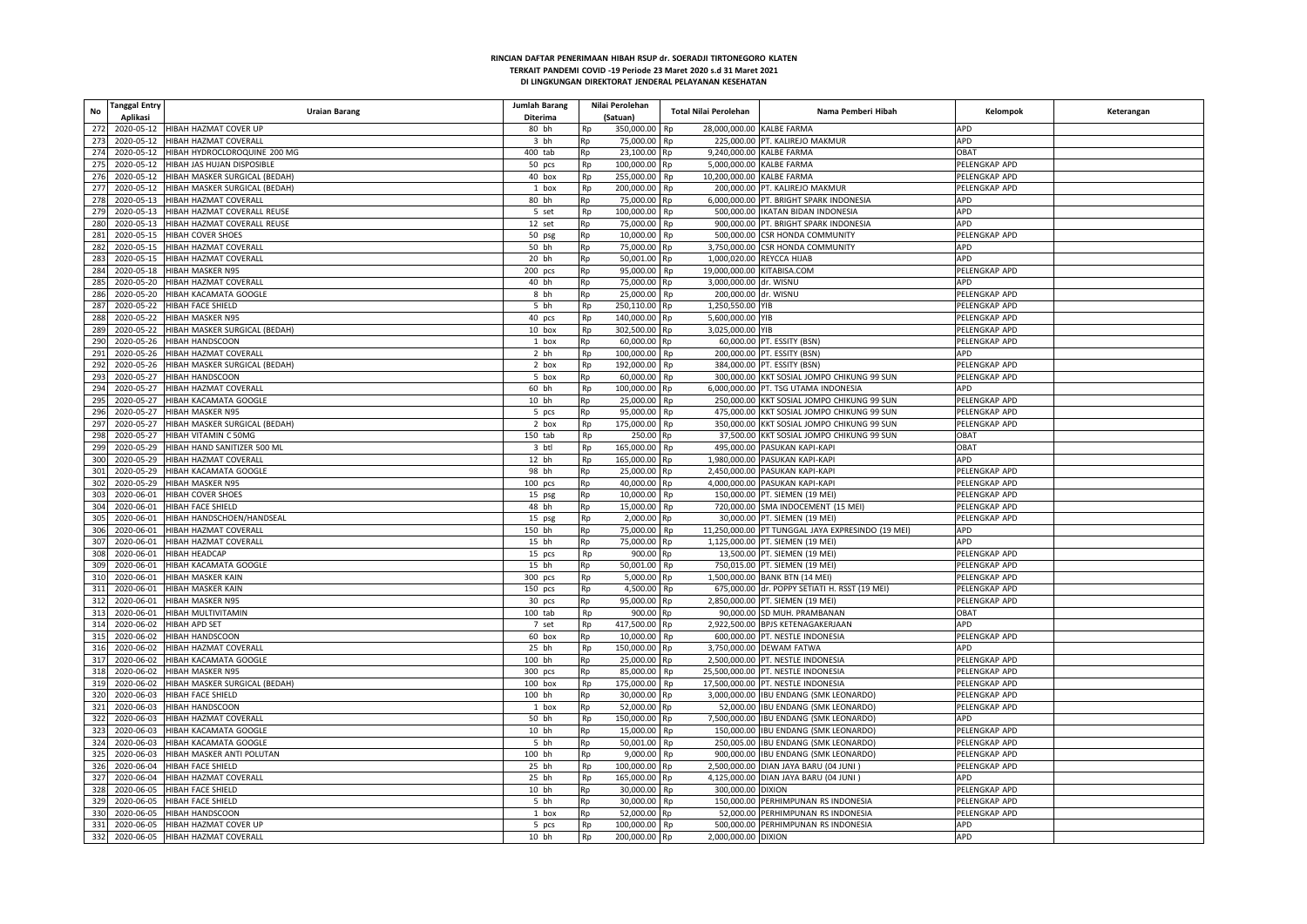| Tanggal Entry<br>No | <b>Uraian Barang</b>                     | Jumlah Barang |    | Nilai Perolehan | Total Nilai Perolehan            | Nama Pemberi Hibah                                | Kelompok                       | Keterangan |
|---------------------|------------------------------------------|---------------|----|-----------------|----------------------------------|---------------------------------------------------|--------------------------------|------------|
| Aplikasi            |                                          | Diterima      |    | (Satuan)        |                                  |                                                   |                                |            |
| 272                 | 2020-05-12 HIBAH HAZMAT COVER UP         | 80 bh         | Rp | 350,000.00 Rp   | 28,000,000.00 KALBE FARMA        |                                                   | APD                            |            |
| 273<br>2020-05-12   | HIBAH HAZMAT COVERALI                    | 3 bh          | Rp | 75,000.00       | Rp                               | 225,000.00 PT. KALIREJO MAKMUR                    | APD                            |            |
| 274<br>2020-05-12   | HIBAH HYDROCLOROQUINE 200 MG             | 400 tab       | Rp | 23,100.00 Rp    | 9,240,000.00 KALBE FARMA         |                                                   | OBAT                           |            |
| 275                 | 2020-05-12 HIBAH JAS HUJAN DISPOSIBLE    | 50 pcs        | Rp | 100,000.00 Rp   | 5,000,000.00 KALBE FARMA         |                                                   | PELENGKAP APD                  |            |
| 276<br>2020-05-12   | HIBAH MASKER SURGICAL (BEDAH)            | 40 box        | Rp | 255,000.00      | 10,200,000.00 KALBE FARMA<br>Rp  |                                                   | PELENGKAP APD                  |            |
| 277<br>2020-05-12   | HIBAH MASKER SURGICAL (BEDAH)            | 1 box         | Rp | 200,000.00      | Rp                               | 200,000.00 PT. KALIREJO MAKMUR                    | PELENGKAP APD                  |            |
| 278                 | 2020-05-13 HIBAH HAZMAT COVERALL         | 80 bh         | Rp | 75,000.00 Rp    |                                  | 6,000,000.00 PT. BRIGHT SPARK INDONESIA           | APD                            |            |
| 279                 | 2020-05-13 HIBAH HAZMAT COVERALL REUSE   | 5 set         | Rp | 100,000.00      | Rp                               | 500,000.00 IKATAN BIDAN INDONESIA                 | APD                            |            |
| 280                 | 2020-05-13 HIBAH HAZMAT COVERALL REUSE   | 12 set        | Rp | 75,000.00       | Rp                               | 900,000.00 PT. BRIGHT SPARK INDONESIA             | APD                            |            |
| 281<br>2020-05-15   | <b>HIBAH COVER SHOES</b>                 | 50 psg        | Rp | 10,000.00       | Rp                               | 500,000.00 CSR HONDA COMMUNITY                    | PELENGKAP APD                  |            |
| 282                 | 2020-05-15 HIBAH HAZMAT COVERALI         | 50 bh         | Rp | 75,000.00       | Rp                               | 3,750,000.00 CSR HONDA COMMUNITY                  | <b>APD</b>                     |            |
| 283                 | 2020-05-15 HIBAH HAZMAT COVERALL         | 20 bh         |    | 50,001.00 Rp    | 1,000,020.00 REYCCA HIJAB        |                                                   | <b>APD</b>                     |            |
|                     |                                          |               | Rp |                 |                                  |                                                   |                                |            |
| 284                 | 2020-05-18 HIBAH MASKER N95              | 200 pcs       | Rp | 95,000.00       | 19,000,000.00 KITABISA.COM<br>Rp |                                                   | PELENGKAP APD                  |            |
| 285                 | 2020-05-20 HIBAH HAZMAT COVERALL         | 40 bh         | Rp | 75,000.00 Rp    | 3,000,000.00 dr. WISNU           |                                                   | APD                            |            |
| 286                 | 2020-05-20 HIBAH KACAMATA GOOGLE         | 8 bh          | Rp | 25,000.00       | 200,000.00 dr. WISNU<br>Rp       |                                                   | PELENGKAP APD                  |            |
| 287<br>2020-05-22   | HIBAH FACE SHIELD                        | 5 bh          | Rp | 250,110.00      | 1,250,550.00 YIB<br>Rp           |                                                   | PELENGKAP APD                  |            |
| 288                 | 2020-05-22 HIBAH MASKER N95              | 40 pcs        | Rp | 140,000.00 Rp   | 5,600,000.00 YIB                 |                                                   | PELENGKAP APD                  |            |
| 289                 | 2020-05-22 HIBAH MASKER SURGICAL (BEDAH) | 10 box        | Rp | 302,500.00 Rp   | 3,025,000.00 YIB                 |                                                   | PELENGKAP APD                  |            |
| 290<br>2020-05-26   | HIBAH HANDSCOON                          | 1 box         | Rp | 60,000.00 Rp    |                                  | 60,000.00 PT. ESSITY (BSN)                        | PELENGKAP APD                  |            |
| 291                 | 2020-05-26 HIBAH HAZMAT COVERALL         | 2 bh          | Rp | 100,000.00      | Rp                               | 200,000.00 PT. ESSITY (BSN)                       | APD                            |            |
| 292                 | 2020-05-26 HIBAH MASKER SURGICAL (BEDAH) | 2 box         | Rp | 192,000.00      | R <sub>n</sub>                   | 384,000.00 PT. ESSITY (BSN)                       | PELENGKAP APD                  |            |
| 293<br>2020-05-27   | HIBAH HANDSCOON                          | 5 box         | Rp | 60,000.00       | Rp                               | 300,000.00 KKT SOSIAL JOMPO CHIKUNG 99 SUN        | PELENGKAP APD                  |            |
| 294<br>2020-05-27   | HIBAH HAZMAT COVERALI                    | 60 bh         | Rp | 100,000.00 Rp   |                                  | 6,000,000.00 PT. TSG UTAMA INDONESIA              | <b>APD</b>                     |            |
| 295<br>2020-05-27   | HIBAH KACAMATA GOOGLE                    | 10 bh         | Rp | 25,000.00       | Ro                               | 250,000.00 KKT SOSIAL JOMPO CHIKUNG 99 SUN        | PELENGKAP APD                  |            |
| 296                 | 2020-05-27 HIBAH MASKER N95              | 5 pcs         | Rp | 95,000.00       | Rp                               | 475,000.00 KKT SOSIAL JOMPO CHIKUNG 99 SUN        | PELENGKAP APD                  |            |
| 297                 | 2020-05-27 HIBAH MASKER SURGICAL (BEDAH) | 2 box         | Rp | 175,000.00      | Rp                               | 350,000.00 KKT SOSIAL JOMPO CHIKUNG 99 SUN        | PELENGKAP APD                  |            |
| 298<br>2020-05-27   | HIBAH VITAMIN C 50MG                     | 150 tab       | Rp | 250.00 Rp       |                                  | 37,500.00 KKT SOSIAL JOMPO CHIKUNG 99 SUN         | OBAT                           |            |
| 299                 | 2020-05-29 HIBAH HAND SANITIZER 500 ML   | 3 btl         | Rp | 165,000.00      | Rp                               | 495,000.00 PASUKAN KAPI-KAPI                      | OBAT                           |            |
| 300                 | 2020-05-29 HIBAH HAZMAT COVERALI         | 12 bh         | Rp | 165,000.00      | Rp                               | 1,980,000.00 PASUKAN KAPI-KAPI                    | APD                            |            |
| 301                 | 2020-05-29 HIBAH KACAMATA GOOGLE         | 98 bh         | Rp | 25,000.00       | Rp                               | 2,450,000.00 PASUKAN KAPI-KAPI                    | PELENGKAP APD                  |            |
| 302                 | 2020-05-29 HIBAH MASKER N95              | $100$ pcs     |    | 40,000.00       | Rp                               | 4,000,000.00 PASUKAN KAPI-KAPI                    | PELENGKAP APD                  |            |
| 2020-06-01          |                                          |               | Rp | 10,000.00       |                                  | 150,000.00 PT. SIEMEN (19 MEI)                    |                                |            |
| 303<br>304          | <b>HIBAH COVER SHOES</b>                 | 15 psg        | Rp |                 | Rp                               |                                                   | PELENGKAP APD<br>PELENGKAP APD |            |
| 305<br>2020-06-01   | 2020-06-01 HIBAH FACE SHIELD             | 48 bh         | Rp | 15,000.00       | Rp                               | 720,000.00 SMA INDOCEMENT (15 MEI)                |                                |            |
|                     | HIBAH HANDSCHOEN/HANDSEAL                | 15 psg        | Rp | 2,000.00        | Rp                               | 30,000.00 PT. SIEMEN (19 MEI)                     | PELENGKAP APD                  |            |
| 306<br>2020-06-01   | HIBAH HAZMAT COVERALI                    | 150 bh        | Rp | 75,000.00       | Rp                               | 11,250,000.00 PT TUNGGAL JAYA EXPRESINDO (19 MEI) | APD                            |            |
| 307                 | 2020-06-01 HIBAH HAZMAT COVERALL         | 15 bh         | Rp | 75,000.00       | Rp                               | 1,125,000.00 PT. SIEMEN (19 MEI)                  | APD                            |            |
| 308<br>2020-06-01   | <b>HIBAH HEADCAP</b>                     | 15 pcs        | Rp | 900.00          |                                  | 13,500.00 PT. SIEMEN (19 MEI)                     | PELENGKAP APD                  |            |
| 309                 | 2020-06-01 HIBAH KACAMATA GOOGLE         | 15 bh         | Rp | 50,001.00       | Rp                               | 750,015.00 PT. SIEMEN (19 MEI                     | PELENGKAP APD                  |            |
| 310<br>2020-06-01   | <b>HIBAH MASKER KAIN</b>                 | 300 pcs       | Rp | 5.000.00 Rp     |                                  | 1,500,000.00 BANK BTN (14 MEI)                    | PELENGKAP APD                  |            |
| 311<br>2020-06-01   | HIBAH MASKER KAIN                        | 150 pcs       | Rp | 4,500.00        | Rp                               | 675,000.00 dr. POPPY SETIATI H. RSST (19 MEI)     | PELENGKAP APD                  |            |
| 312<br>2020-06-01   | <b>HIBAH MASKER N95</b>                  | 30 pcs        | Rp | 95,000.00       | Rp                               | 2,850,000.00 PT. SIEMEN (19 MEI)                  | PELENGKAP APD                  |            |
| 313<br>2020-06-01   | HIBAH MULTIVITAMIN                       | $100$ tab     | Rp | 900.00          |                                  | 90,000.00 SD MUH. PRAMBANAN                       | <b>OBAT</b>                    |            |
| 314<br>2020-06-02   | <b>HIBAH APD SET</b>                     | 7 set         | Rp | 417,500.00      | Rp                               | 2.922.500.00 BPJS KETENAGAKERJAAN                 | APD                            |            |
| 315<br>2020-06-02   | HIBAH HANDSCOON                          | 60 box        | Rp | 10,000.00       | Rn                               | 600,000.00 PT. NESTLE INDONESIA                   | PELENGKAP APD                  |            |
| 316<br>2020-06-02   | HIBAH HAZMAT COVERALI                    | 25 bh         | Rp | 150,000.00      | Rp                               | 3,750,000.00 DEWAM FATWA                          | APD                            |            |
| 317                 | 2020-06-02 HIBAH KACAMATA GOOGLE         | 100 bh        | Rp | 25,000.00       | Rp                               | 2,500,000.00 PT. NESTLE INDONESIA                 | PELENGKAP APD                  |            |
| 318                 | 2020-06-02 HIBAH MASKER N95              | 300 pcs       | Rp | 85,000.00       | Rp                               | 25,500,000.00 PT. NESTLE INDONESIA                | PELENGKAP APD                  |            |
| 319                 | 2020-06-02 HIBAH MASKER SURGICAL (BEDAH) | $100$ box     | Rp | 175,000.00      | Rp                               | 17,500,000.00 PT. NESTLE INDONESIA                | PELENGKAP APD                  |            |
| 320                 | 2020-06-03 HIBAH FACE SHIELD             | 100 bh        | Rp | 30,000.00       | Rp                               | 3,000,000.00 IBU ENDANG (SMK LEONARDO)            | PELENGKAP APD                  |            |
| 321                 | 2020-06-03 HIBAH HANDSCOON               | 1 box         | Rp | 52,000.00       |                                  | 52,000.00 IBU ENDANG (SMK LEONARDO)               | PELENGKAP APD                  |            |
| 322                 | 2020-06-03 HIBAH HAZMAT COVERALL         | 50 bh         | Rp | 150,000.00 Rp   |                                  | 7,500,000.00 IBU ENDANG (SMK LEONARDO)            | APD                            |            |
|                     | 2020-06-03 HIBAH KACAMATA GOOGLE         | 10 bh         |    | 15,000.00       |                                  | 150,000.00 IBU ENDANG (SMK LEONARDO)              | PELENGKAP APD                  |            |
| 323                 |                                          |               | Rp |                 | Rp                               |                                                   |                                |            |
| 324                 | 2020-06-03 HIBAH KACAMATA GOOGLE         | 5 bh          | Rp | 50,001.00       | Rp                               | 250,005.00 IBU ENDANG (SMK LEONARDO)              | PELENGKAP APD                  |            |
| 325                 | 2020-06-03 HIBAH MASKER ANTI POLUTAN     | 100 bh        | Rp | 9,000.00        | Rp                               | 900,000.00 IBU ENDANG (SMK LEONARDO)              | PELENGKAP APD                  |            |
| 326                 | 2020-06-04 HIBAH FACE SHIELD             | 25 bh         | Rp | 100,000.00 Rp   |                                  | 2,500,000.00 DIAN JAYA BARU (04 JUNI)             | PELENGKAP APD                  |            |
| 327                 | 2020-06-04 HIBAH HAZMAT COVERALL         | 25 bh         | Rp | 165,000.00 Rp   |                                  | 4,125,000.00 DIAN JAYA BARU (04 JUNI)             | APD                            |            |
| 328                 | 2020-06-05 HIBAH FACE SHIELD             | 10 bh         | Rp | 30,000.00       | 300.000.00 DIXION<br>Rp          |                                                   | PELENGKAP APD                  |            |
| 329                 | 2020-06-05 HIBAH FACE SHIELD             | 5 bh          | Rp | 30,000.00       | Rp                               | 150,000.00 PERHIMPUNAN RS INDONESIA               | PELENGKAP APD                  |            |
| 330                 | 2020-06-05 HIBAH HANDSCOON               | 1 box         | Rp | 52,000.00 Rp    |                                  | 52.000.00 PERHIMPUNAN RS INDONESIA                | PELENGKAP APD                  |            |
| 331                 | 2020-06-05 HIBAH HAZMAT COVER UP         | 5 pcs         | Rp | 100,000.00      | Rp                               | 500,000.00 PERHIMPUNAN RS INDONESIA               | APD                            |            |
| 332                 | 2020-06-05 HIBAH HAZMAT COVERALL         | 10 bh         | Rp | 200,000.00 Rp   | 2,000,000.00 DIXION              |                                                   | APD                            |            |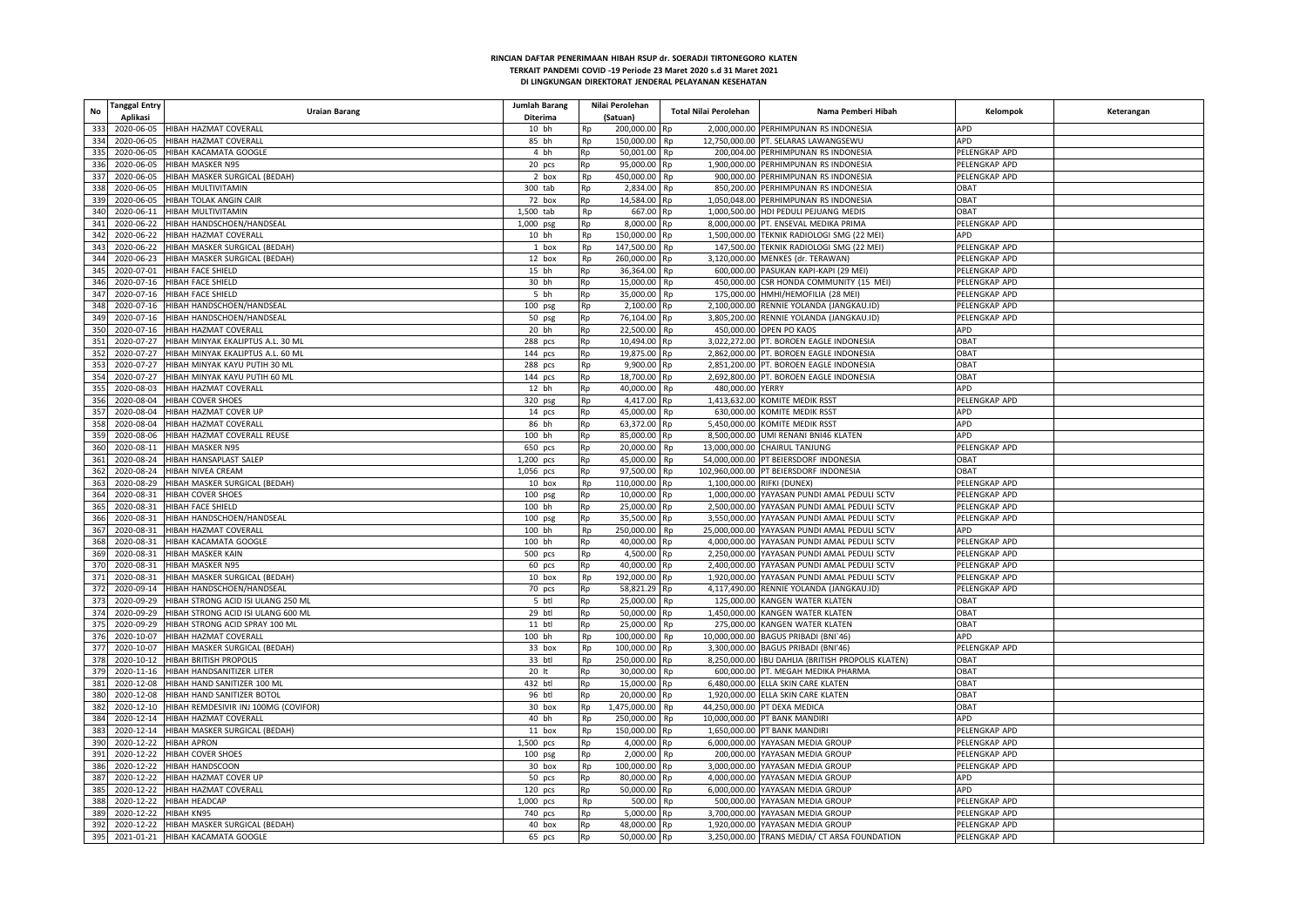| <b>Tanggal Entry</b><br><b>No</b><br>Aplikasi | <b>Uraian Barang</b>                            | Jumlah Barang<br>Diterima |    | Nilai Perolehan<br>(Satuan) | Total Nilai Perolehan  | Nama Pemberi Hibah                                | Kelompok      | Keterangan |
|-----------------------------------------------|-------------------------------------------------|---------------------------|----|-----------------------------|------------------------|---------------------------------------------------|---------------|------------|
| 333                                           | 2020-06-05 HIBAH HAZMAT COVERALL                | 10 bh                     | Rp | 200,000.00 Rp               |                        | 2.000.000.00 PERHIMPUNAN RS INDONESIA             | APD           |            |
|                                               |                                                 |                           |    |                             |                        |                                                   |               |            |
| 334                                           | 2020-06-05 HIBAH HAZMAT COVERALL                | 85 bh                     | Rp | 150,000.00 Rp               |                        | 12.750.000.00 PT. SELARAS LAWANGSEWU              | <b>APD</b>    |            |
| 335<br>2020-06-05                             | HIBAH KACAMATA GOOGLE                           | 4 bh                      | Rp | 50,001.00 Rp                |                        | 200,004.00 PERHIMPUNAN RS INDONESIA               | PELENGKAP APD |            |
| 336                                           | 2020-06-05 HIBAH MASKER N95                     | 20 pcs                    | Rp | 95,000.00 Rp                |                        | 1,900,000.00 PERHIMPUNAN RS INDONESIA             | PELENGKAP APD |            |
| 337                                           | 2020-06-05 HIBAH MASKER SURGICAL (BEDAH)        | 2 box                     | Rp | 450,000.00                  | Rp                     | 900,000.00 PERHIMPUNAN RS INDONESIA               | PELENGKAP APD |            |
| 338                                           | 2020-06-05 HIBAH MULTIVITAMIN                   | 300 tab                   | Rp | 2.834.00 Rp                 |                        | 850.200.00 PERHIMPUNAN RS INDONESIA               | <b>DBAT</b>   |            |
| 339                                           | 2020-06-05 HIBAH TOLAK ANGIN CAIR               | 72 box                    | Rp | 14,584.00 Rp                |                        | 1.050.048.00 PERHIMPUNAN RS INDONESIA             | <b>DBAT</b>   |            |
| 340<br>2020-06-11                             | HIBAH MULTIVITAMIN                              | 1,500 tab                 | Rp | 667.00 Rp                   |                        | 1,000,500.00 HDI PEDULI PEJUANG MEDIS             | OBAT          |            |
| 341                                           | 2020-06-22 HIBAH HANDSCHOEN/HANDSEAL            | 1,000 psg                 | Rp | 8,000.00                    | Rp                     | 8,000,000.00 PT. ENSEVAL MEDIKA PRIMA             | PELENGKAP APD |            |
| 342                                           | 2020-06-22 HIBAH HAZMAT COVERALI                | 10 bh                     | Rp | 150,000.00 Rp               |                        | 1,500,000.00 TEKNIK RADIOLOGI SMG (22 MEI)        | APD           |            |
| 343<br>2020-06-22                             | HIBAH MASKER SURGICAL (BEDAH)                   | 1 box                     | Rp | 147,500.00                  | Rp                     | 147,500.00 TEKNIK RADIOLOGI SMG (22 MEI)          | PELENGKAP APD |            |
| 344                                           | 2020-06-23 HIBAH MASKER SURGICAL (BEDAH)        | 12 box                    | Rp | 260,000.00                  | Rp                     | 3,120,000.00 MENKES (dr. TERAWAN)                 | PELENGKAP APD |            |
| 345<br>2020-07-01                             | HIBAH FACE SHIELD                               | 15 bh                     | Rp | 36,364.00                   | Rp                     | 600,000.00 PASUKAN KAPI-KAPI (29 MEI)             | PELENGKAP APD |            |
| 346                                           | 2020-07-16 HIBAH FACE SHIELD                    | 30 bh                     | Rp | 15,000.00                   | <b>Rp</b>              | 450,000.00 CSR HONDA COMMUNITY (15 MEI)           | PELENGKAP APD |            |
| 347                                           | 2020-07-16 HIBAH FACE SHIELD                    | 5 bh                      | Rp | 35,000.00                   | Rp                     | 175,000.00 HMHI/HEMOFILIA (28 MEI)                | PELENGKAP APD |            |
| 348                                           | 2020-07-16 HIBAH HANDSCHOEN/HANDSEAL            | $100$ psg                 | Rp | 2,100.00                    | Rp                     | 2,100,000.00 RENNIE YOLANDA (JANGKAU.ID)          | PELENGKAP APD |            |
| 349                                           | 2020-07-16 HIBAH HANDSCHOEN/HANDSEAL            | 50 psg                    | Rp | 76,104.00 Rp                |                        | 3,805,200.00 RENNIE YOLANDA (JANGKAU.ID)          | PELENGKAP APD |            |
| 350                                           | 2020-07-16 HIBAH HAZMAT COVERALL                | 20 bh                     | Rp | 22,500.00 Rp                |                        | 450,000.00 OPEN PO KAOS                           | APD           |            |
| 351<br>2020-07-27                             | HIBAH MINYAK EKALIPTUS A.L. 30 ML               | 288 pcs                   | Rp | 10,494.00                   | Rp                     | 3,022,272.00 PT. BOROEN EAGLE INDONESIA           | OBAT          |            |
| 352                                           | 2020-07-27 HIBAH MINYAK EKALIPTUS A.L. 60 ML    | 144 pcs                   | Rp | 19,875.00                   | Rp                     | 2,862,000.00 PT. BOROEN EAGLE INDONESIA           | <b>OBAT</b>   |            |
| 353                                           | 2020-07-27 HIBAH MINYAK KAYU PUTIH 30 ML        |                           | Rp | 9,900.00                    | Rp                     | 2,851,200.00 PT. BOROEN EAGLE INDONESIA           | OBAT          |            |
| 354                                           | 2020-07-27 HIBAH MINYAK KAYU PUTIH 60 ML        | 288 pcs                   |    | 18,700.00 Rp                |                        | 2,692,800.00 PT. BOROEN EAGLE INDONESIA           | OBAT          |            |
|                                               |                                                 | 144 pcs                   | Rp |                             |                        |                                                   |               |            |
| 355<br>2020-08-03                             | HIBAH HAZMAT COVERALI                           | 12 bh                     | Rp | 40,000.00                   | Rp<br>480,000.00 YERRY |                                                   | APD           |            |
| 356                                           | 2020-08-04 HIBAH COVER SHOES                    | 320 psg                   | Rp | 4,417.00                    | Rp                     | 1,413,632.00 KOMITE MEDIK RSST                    | PELENGKAP APD |            |
| 357                                           | 2020-08-04 HIBAH HAZMAT COVER UP                | 14 pcs                    | Rp | 45,000.00                   | Rp                     | 630,000.00 KOMITE MEDIK RSST                      | APD           |            |
| 358                                           | 2020-08-04 HIBAH HAZMAT COVERALL                | 86 bh                     | Rp | 63,372.00 Rp                |                        | 5,450,000.00 KOMITE MEDIK RSST                    | <b>APD</b>    |            |
| 359                                           | 2020-08-06 HIBAH HAZMAT COVERALL REUSE          | 100 bh                    | Rp | 85,000.00 Rp                |                        | 8.500.000.00 UMI RENANI BNI46 KLATEN              | APD           |            |
| 360                                           | 2020-08-11 HIBAH MASKER N95                     | 650 pcs                   | Rp | 20,000,00                   | Rp                     | 13.000.000.00 CHAIRUL TANJUNG                     | PELENGKAP APD |            |
| 361                                           | 2020-08-24 HIBAH HANSAPLAST SALEP               | 1,200 pcs                 | Rp | 45,000.00                   | Rp                     | 54,000,000.00 PT BEIERSDORF INDONESIA             | OBAT          |            |
| 362                                           | 2020-08-24 HIBAH NIVEA CREAM                    | 1,056 pcs                 | Rp | 97,500.00 Rp                |                        | 102,960,000.00 PT BEIERSDORF INDONESIA            | OBAT          |            |
| 363                                           | 2020-08-29 HIBAH MASKER SURGICAL (BEDAH)        | 10 box                    | Rp | 110,000.00 Rp               |                        | 1.100.000.00 RIFKI (DUNEX)                        | PELENGKAP APD |            |
| 364                                           | 2020-08-31 HIBAH COVER SHOES                    | $100$ psg                 | Rp | 10,000.00                   | Rp                     | 1,000,000.00 YAYASAN PUNDI AMAL PEDULI SCTV       | PELENGKAP APD |            |
| 365                                           | 2020-08-31 HIBAH FACE SHIELD                    | 100 bh                    | Rp | 25,000.00 Rp                |                        | 2,500,000.00 YAYASAN PUNDI AMAL PEDULI SCTV       | PELENGKAP APD |            |
| 366<br>2020-08-31                             | HIBAH HANDSCHOEN/HANDSEAL                       | 100 psg                   | Rp | 35,500.00                   | Rp                     | 3,550,000.00 YAYASAN PUNDI AMAL PEDULI SCTV       | PELENGKAP APD |            |
| 367<br>2020-08-31                             | HIBAH HAZMAT COVERALL                           | 100 bh                    | Rp | 250,000.00                  | <b>Rp</b>              | 25,000,000.00 YAYASAN PUNDI AMAL PEDULI SCTV      | APD           |            |
| 368<br>2020-08-31                             | HIBAH KACAMATA GOOGLI                           | 100 bh                    | Rp | 40.000.00                   | Rn                     | 4,000,000.00 YAYASAN PUNDI AMAL PEDULI SCTV       | PELENGKAP APD |            |
| 369<br>2020-08-31                             | HIBAH MASKER KAIN                               | 500 pcs                   | Rp | 4,500.00                    | Rp                     | 2,250,000.00 YAYASAN PUNDI AMAL PEDULI SCTV       | PELENGKAP APD |            |
| 370                                           | 2020-08-31 HIBAH MASKER N95                     | 60 pcs                    | Rp | 40,000.00 Rp                |                        | 2,400,000.00 YAYASAN PUNDI AMAL PEDULI SCTV       | PELENGKAP APD |            |
| 371<br>2020-08-31                             | HIBAH MASKER SURGICAL (BEDAH)                   | 10 box                    | Rp | 192,000.00 Rp               |                        | 1,920,000.00 YAYASAN PUNDI AMAL PEDULI SCTV       | PELENGKAP APD |            |
| 372                                           | 2020-09-14 HIBAH HANDSCHOEN/HANDSEAL            | 70 pcs                    | Rp | 58,821.29                   | Rn                     | 4,117,490.00 RENNIE YOLANDA (JANGKAU.ID)          | PELENGKAP APD |            |
| 373                                           | 2020-09-29 HIBAH STRONG ACID ISI ULANG 250 ML   | 5 btl                     | Rp | 25,000.00                   | Rp                     | 125,000.00 KANGEN WATER KLATEN                    | OBAT          |            |
| 374                                           | 2020-09-29 HIBAH STRONG ACID ISI ULANG 600 MI   | 29 btl                    | Rp | 50,000.00                   | Rp                     | 1,450,000.00 KANGEN WATER KLATEN                  | OBAT          |            |
| 375                                           | 2020-09-29 HIBAH STRONG ACID SPRAY 100 ML       | 11 btl                    | Rp | 25,000.00                   | Rp                     | 275,000.00 KANGEN WATER KLATEN                    | OBAT          |            |
| 376<br>2020-10-07                             | HIBAH HAZMAT COVERALI                           | 100 bh                    | Rp | 100,000.00                  | Rp                     | 10,000,000.00 BAGUS PRIBADI (BNI'46)              | APD           |            |
| 377<br>2020-10-07                             | HIBAH MASKER SURGICAL (BEDAH)                   | 33 box                    |    | 100,000.00                  |                        | 3,300,000.00 BAGUS PRIBADI (BNI'46)               | PELENGKAP APD |            |
|                                               |                                                 |                           | Rp |                             | Rp                     |                                                   |               |            |
| 378                                           | 2020-10-12 HIBAH BRITISH PROPOLIS               | 33 btl                    | Rp | 250,000.00 Rp               |                        | 8,250,000.00 IBU DAHLIA (BRITISH PROPOLIS KLATEN) | OBAT          |            |
| 379                                           | 2020-11-16 HIBAH HANDSANITIZER LITER            | 20 lt                     | Rp | 30,000.00                   | Rp                     | 600,000.00 PT. MEGAH MEDIKA PHARMA                | OBAT          |            |
| 381<br>2020-12-08                             | HIBAH HAND SANITIZER 100 ML                     | 432 btl                   | Rp | 15,000.00                   | Rp                     | 6,480,000.00 ELLA SKIN CARE KLATEN                | OBAT          |            |
| 380<br>2020-12-08                             | HIBAH HAND SANITIZER BOTOL                      | 96 btl                    | Rp | 20.000.00                   | Rn                     | 1.920.000.00 ELLA SKIN CARE KLATEN                | OBAT          |            |
| 382                                           | 2020-12-10 HIBAH REMDESIVIR INJ 100MG (COVIFOR) | 30 box                    | Rp | 1,475,000.00                | Rp                     | 44,250,000.00 PT DEXA MEDICA                      | OBAT          |            |
| 384                                           | 2020-12-14 HIBAH HAZMAT COVERALL                | 40 bh                     | Rp | 250,000.00 Rp               |                        | 10,000,000.00 PT BANK MANDIRI                     | APD           |            |
| 383                                           | 2020-12-14 HIBAH MASKER SURGICAL (BEDAH)        | 11 box                    | Rp | 150,000.00                  | Rp                     | 1,650,000.00 PT BANK MANDIR                       | PELENGKAP APD |            |
| 390<br>2020-12-22 HIBAH APRON                 |                                                 | 1,500 pcs                 | Rp | 4.000.00                    | Rn                     | 6,000,000.00 YAYASAN MEDIA GROUP                  | PELENGKAP APD |            |
| 391                                           | 2020-12-22 HIBAH COVER SHOES                    | $100$ psg                 | Rp | 2,000.00                    | Rp                     | 200,000.00 YAYASAN MEDIA GROUP                    | PELENGKAP APD |            |
| 386                                           | 2020-12-22 HIBAH HANDSCOON                      | 30 box                    | Rp | 100,000.00 Rp               |                        | 3,000,000.00 YAYASAN MEDIA GROUP                  | PELENGKAP APD |            |
| 387                                           | 2020-12-22 HIBAH HAZMAT COVER UP                | 50 pcs                    | Rp | 80.000.00 Rp                |                        | 4,000,000.00 YAYASAN MEDIA GROUP                  | APD           |            |
| 385                                           | 2020-12-22 HIBAH HAZMAT COVERALI                | $120$ pcs                 | Rp | 50,000.00                   | Rp                     | 6,000,000.00 YAYASAN MEDIA GROUI                  | APD           |            |
| 388                                           | 2020-12-22 HIBAH HEADCAP                        | 1,000 pcs                 | Rp | 500.00                      | Rp                     | 500,000.00 YAYASAN MEDIA GROUP                    | PELENGKAP APD |            |
| 389<br>2020-12-22 HIBAH KN95                  |                                                 | 740 pcs                   | Rp | 5,000.00                    | Rp                     | 3,700,000.00 YAYASAN MEDIA GROUP                  | PELENGKAP APD |            |
| 392                                           | 2020-12-22 HIBAH MASKER SURGICAL (BEDAH)        | 40 box                    | Rp | 48,000.00 Rp                |                        | 1,920,000.00 YAYASAN MEDIA GROUP                  | PELENGKAP APD |            |
| 395                                           | 2021-01-21 HIBAH KACAMATA GOOGLE                | 65 pcs                    | Rp | 50,000.00 Rp                |                        | 3,250,000.00 TRANS MEDIA/ CT ARSA FOUNDATION      | PELENGKAP APD |            |
|                                               |                                                 |                           |    |                             |                        |                                                   |               |            |